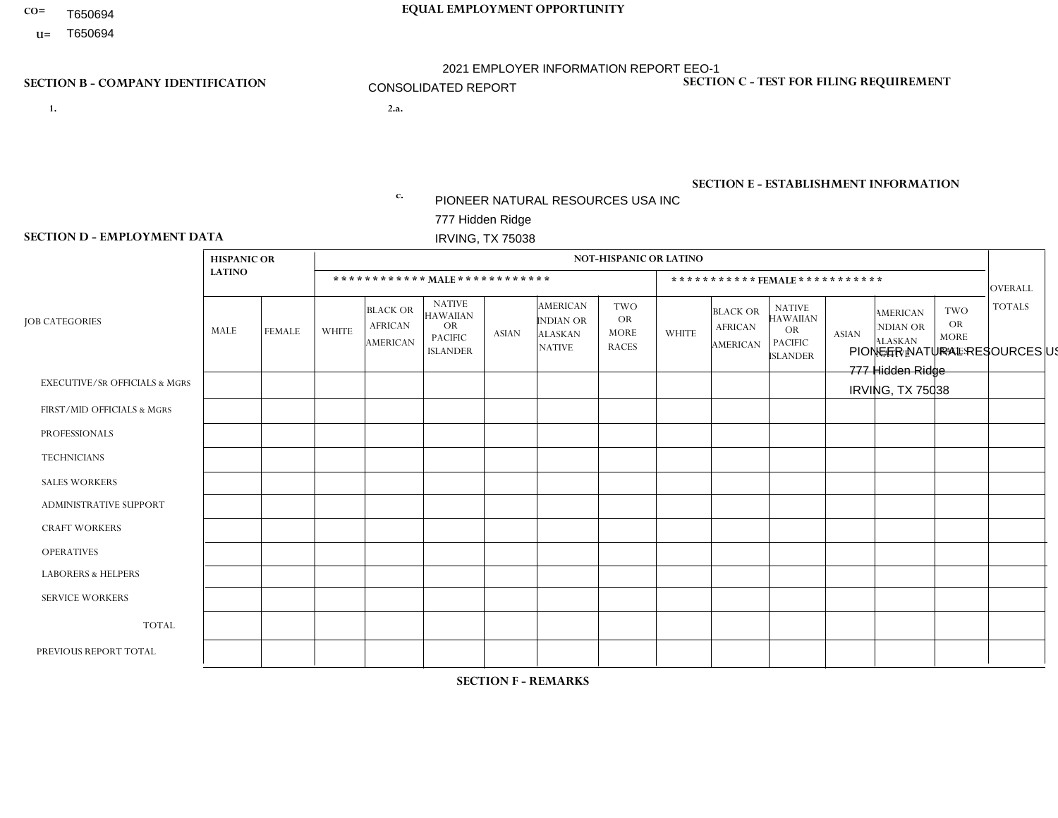- T650694
- **U=**

# **CO= EQUAL EMPLOYMENT OPPORTUNITY**

2021 EMPLOYER INFORMATION REPORT EEO-1

## CONSOLIDATED REPORT

- **1. 2.a.** PIONEER NATURAL RESOURCES USA INC 777 Hidden Ridge IRVING, TX 75038
- 2.a. PIONEER NATURAL RESOURCES USA INC 777 Hidden Ridge IRVING, TX 75038

EIN= 752516853

### **SECTION B - COMPANY IDENTIFICATION SECTION C - TEST FOR FILING REQUIREMENT**

1- Y 2- N 3- N DUNS= 154679435

**SECTION E - ESTABLISHMENT INFORMATION c.** NAICS: 551114 - Corporate, Subsidiary, and Regional Managing Offices

### **SECTION D - EMPLOYMENT DATA**

|                                          | <b>HISPANIC OR</b> |               |              |                                                      |                                                                                    |              |                                                                        | <b>NOT-HISPANIC OR LATINO</b>                   |              |                                                      |                                                                                    |                |                                                                       |                                                        |                |
|------------------------------------------|--------------------|---------------|--------------|------------------------------------------------------|------------------------------------------------------------------------------------|--------------|------------------------------------------------------------------------|-------------------------------------------------|--------------|------------------------------------------------------|------------------------------------------------------------------------------------|----------------|-----------------------------------------------------------------------|--------------------------------------------------------|----------------|
|                                          | <b>LATINO</b>      |               |              | ************ MALE ************                       |                                                                                    |              |                                                                        |                                                 |              |                                                      | ***********FEMALE***********                                                       |                |                                                                       |                                                        | <b>OVERALL</b> |
| <b>JOB CATEGORIES</b>                    | MALE               | <b>FEMALE</b> | <b>WHITE</b> | <b>BLACK OR</b><br><b>AFRICAN</b><br><b>AMERICAN</b> | <b>NATIVE</b><br><b>HAWAIIAN</b><br><b>OR</b><br><b>PACIFIC</b><br><b>ISLANDER</b> | <b>ASIAN</b> | <b>AMERICAN</b><br><b>INDIAN OR</b><br><b>ALASKAN</b><br><b>NATIVE</b> | TWO<br><b>OR</b><br><b>MORE</b><br><b>RACES</b> | <b>WHITE</b> | <b>BLACK OR</b><br><b>AFRICAN</b><br><b>AMERICAN</b> | <b>NATIVE</b><br><b>HAWAIIAN</b><br><b>OR</b><br><b>PACIFIC</b><br><b>ISLANDER</b> | <b>ASIAN</b>   | <b>AMERICAN</b><br><b>NDIAN OR</b><br><b>ALASKAN</b><br><b>NATIVE</b> | <b>TWO</b><br><b>OR</b><br><b>MORE</b><br><b>RACES</b> | <b>TOTALS</b>  |
| <b>EXECUTIVE/SR OFFICIALS &amp; MGRS</b> | -1                 | $\mathbf{1}$  | 15           | $\mathbf 0$                                          | 0                                                                                  | 2            | $\Omega$                                                               | $\Omega$                                        | 8            | $\Omega$                                             | $\Omega$                                                                           | 0              | $\Omega$                                                              | $\mathbf{0}$                                           | 27             |
| FIRST/MID OFFICIALS & MGRS               | 49                 | 13            | 234          | $\overline{7}$                                       | 0                                                                                  | 4            | $\overline{2}$                                                         | 4                                               | 61           | $\overline{4}$                                       | $\Omega$                                                                           | 4              | -1                                                                    | $\Omega$                                               | 383            |
| <b>PROFESSIONALS</b>                     | 49                 | 48            | 313          | 12                                                   | 0                                                                                  | 42           | 3                                                                      | 6                                               | 148          | 15                                                   | $\Omega$                                                                           | 17             | 3                                                                     | $\overline{4}$                                         | 660            |
| <b>TECHNICIANS</b>                       | 6                  | 17            | 42           | $\overline{2}$                                       | $\Omega$                                                                           | 2            | $\Omega$                                                               | $\Omega$                                        | 52           | $\overline{4}$                                       | $\mathbf{0}$                                                                       | $\overline{7}$ | $\Omega$                                                              | -1                                                     | 133            |
| <b>SALES WORKERS</b>                     | $\mathbf 0$        | $\mathbf 0$   | $\mathbf{1}$ | 0                                                    | 0                                                                                  | $\Omega$     | $\Omega$                                                               | $\Omega$                                        | $\Omega$     | $\mathbf{0}$                                         | $\Omega$                                                                           | $\mathbf 0$    | $\Omega$                                                              | $\Omega$                                               | $\mathbf{1}$   |
| <b>ADMINISTRATIVE SUPPORT</b>            | 17                 | 28            | 22           | $\mathbf 0$                                          | 0                                                                                  | $\Omega$     | 1                                                                      | $\Omega$                                        | 63           | 13                                                   | $\Omega$                                                                           | 3              | $\overline{1}$                                                        | $\overline{\mathbf{1}}$                                | 149            |
| <b>CRAFT WORKERS</b>                     | 184                | 3             | 336          | $5\phantom{.0}$                                      | 0                                                                                  | $\mathbf 1$  | $\overline{4}$                                                         | 6                                               | 3            | 1                                                    | $\Omega$                                                                           | $\Omega$       | $\Omega$                                                              | $\Omega$                                               | 543            |
| <b>OPERATIVES</b>                        | 9                  | $\Omega$      | 21           | $\mathbf 0$                                          | 0                                                                                  | $\mathbf 1$  | 1                                                                      |                                                 | $\Omega$     | $\Omega$                                             | $\Omega$                                                                           | $\Omega$       | $\Omega$                                                              | $\Omega$                                               | 33             |
| <b>LABORERS &amp; HELPERS</b>            | $\Omega$           | 0             | $\mathbf 0$  | 0                                                    | 0                                                                                  | $\Omega$     | $\Omega$                                                               | $\Omega$                                        | $\Omega$     | $\Omega$                                             | $\Omega$                                                                           | $\Omega$       | $\Omega$                                                              | $\mathbf{0}$                                           | $\mathbf 0$    |
| <b>SERVICE WORKERS</b>                   | 0                  | $\Omega$      | $\Omega$     | 0                                                    | 0                                                                                  | $\Omega$     | $\Omega$                                                               | $\Omega$                                        | $\Omega$     | $\Omega$                                             | $\Omega$                                                                           | 0              | $\Omega$                                                              | $\Omega$                                               | $\mathbf 0$    |
| <b>TOTAL</b>                             | 315                | 110           | 984          | 26                                                   | 0                                                                                  | 52           | 11                                                                     | 17                                              | 335          | 37                                                   | $\Omega$                                                                           | 31             | 5                                                                     | 6                                                      | 1929           |
| PREVIOUS REPORT TOTAL                    | 488                | 138           | 1000         | 44                                                   | 0                                                                                  | 56           | 9                                                                      | 15                                              | 362          | 47                                                   | 0                                                                                  | 37             | 5                                                                     | 6                                                      | 2207           |
|                                          |                    |               |              |                                                      |                                                                                    |              |                                                                        |                                                 |              |                                                      |                                                                                    |                |                                                                       |                                                        |                |

**SECTION F - REMARKS**

DATES OF PAYROLL PERIOD: 12/6/2021 THRU 12/19/2021 **SECTION G - CERTIFICATION CERTIFIED DATE [EST]: 5/12/2022 4:37 PM**

CERTIFYING OFFICIAL: Kimberly Balderas EMAIL: pramodh.eappen@pxd.com EEO1 REPORT CONTACT PERSON: Pramodh Eappen EMAIL: pramodh.eappen@pxd.com

TITLE: Director, Employee Relations and HR Ops PHONE: 9729694099 TITLE: Senior HR Shared Services Specialist PHONE: 972-969-4099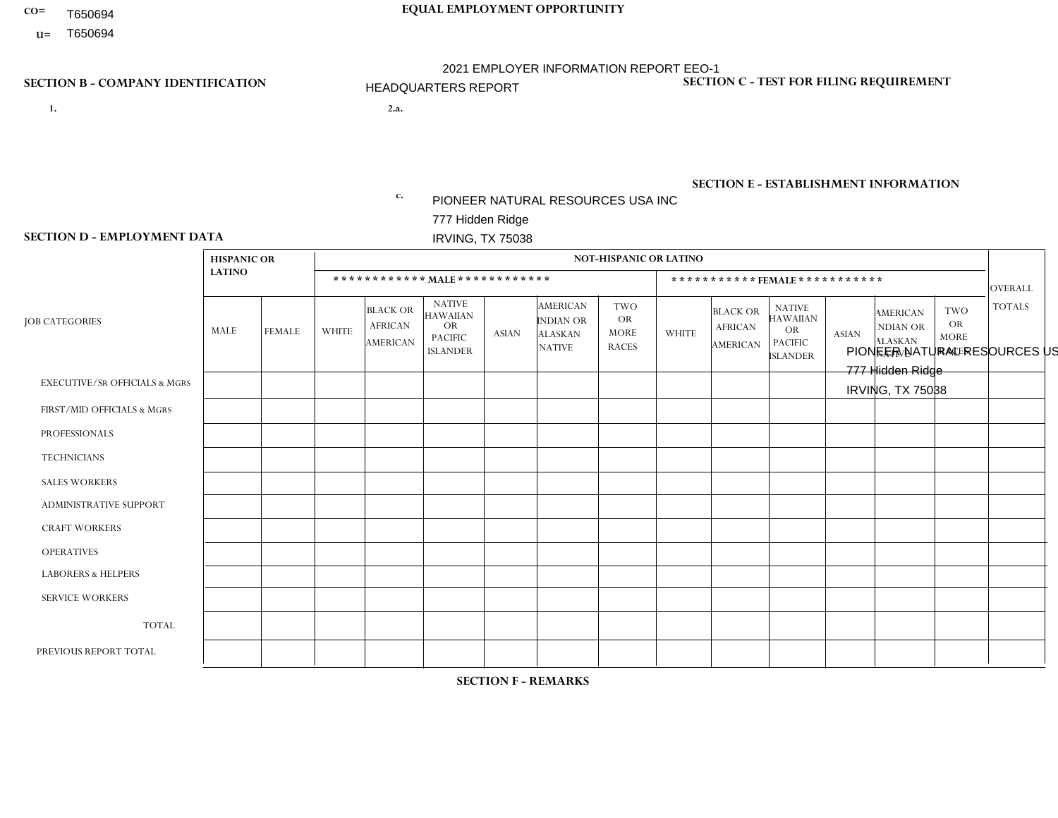- T650694
- **U=**

# **CO= EQUAL EMPLOYMENT OPPORTUNITY**

2021 EMPLOYER INFORMATION REPORT EEO-1

### HEADQUARTERS REPORT

- **1. 2.a.** PIONEER NATURAL RESOURCES USA INC 777 Hidden Ridge IRVING, TX 75038
- 2.a. PIONEER NATURAL RESOURCES USA INC 777 Hidden Ridge IRVING, TX 75038

EIN= 752516853

## **SECTION B - COMPANY IDENTIFICATION SECTION C - TEST FOR FILING REQUIREMENT**

1- Y 2- N 3- N DUNS= 154679435

**SECTION E - ESTABLISHMENT INFORMATION c.** NAICS: 551114 - Corporate, Subsidiary, and Regional Managing Offices

### **SECTION D - EMPLOYMENT DATA**

|                                          | <b>HISPANIC OR</b> |               |              |                                                      |                                                                                    |                |                                                                        | <b>NOT-HISPANIC OR LATINO</b>                          |                |                                                      |                                                                                    |                |                                                                       |                                                        |                |
|------------------------------------------|--------------------|---------------|--------------|------------------------------------------------------|------------------------------------------------------------------------------------|----------------|------------------------------------------------------------------------|--------------------------------------------------------|----------------|------------------------------------------------------|------------------------------------------------------------------------------------|----------------|-----------------------------------------------------------------------|--------------------------------------------------------|----------------|
|                                          | <b>LATINO</b>      |               |              |                                                      | ************ MAIE************                                                      |                |                                                                        |                                                        |                |                                                      | *********** FEMALE ***********                                                     |                |                                                                       |                                                        | <b>OVERALL</b> |
| <b>JOB CATEGORIES</b>                    | MALE               | <b>FEMALE</b> | <b>WHITE</b> | <b>BLACK OR</b><br><b>AFRICAN</b><br><b>AMERICAN</b> | <b>NATIVE</b><br><b>HAWAIIAN</b><br><b>OR</b><br><b>PACIFIC</b><br><b>ISLANDER</b> | <b>ASIAN</b>   | <b>AMERICAN</b><br><b>INDIAN OR</b><br><b>ALASKAN</b><br><b>NATIVE</b> | <b>TWO</b><br><b>OR</b><br><b>MORE</b><br><b>RACES</b> | <b>WHITE</b>   | <b>BLACK OR</b><br><b>AFRICAN</b><br><b>AMERICAN</b> | <b>NATIVE</b><br><b>HAWAIIAN</b><br><b>OR</b><br><b>PACIFIC</b><br><b>ISLANDER</b> | <b>ASIAN</b>   | <b>AMERICAN</b><br><b>NDIAN OR</b><br><b>ALASKAN</b><br><b>NATIVE</b> | <b>TWO</b><br><b>OR</b><br><b>MORE</b><br><b>RACES</b> | <b>TOTALS</b>  |
| <b>EXECUTIVE/SR OFFICIALS &amp; MGRS</b> | $\overline{1}$     |               | 14           | $\mathbf 0$                                          | $\Omega$                                                                           | $\overline{2}$ | $\Omega$                                                               | $\Omega$                                               | $\overline{7}$ | $\Omega$                                             | 0                                                                                  | $\mathbf 0$    | $\mathbf 0$                                                           | $\mathbf 0$                                            | 25             |
| FIRST/MID OFFICIALS & MGRS               | 6                  | 3             | 83           | 5                                                    | $\Omega$                                                                           | 4              |                                                                        | $\Omega$                                               | 38             | 3                                                    | $\Omega$                                                                           | $\overline{4}$ |                                                                       | $\Omega$                                               | 148            |
| <b>PROFESSIONALS</b>                     | 18                 | 14            | 220          | 8                                                    | $\Omega$                                                                           | 39             |                                                                        | 6                                                      | 107            | 13                                                   | $\mathbf 0$                                                                        | 16             | 3                                                                     | $\overline{4}$                                         | 449            |
| <b>TECHNICIANS</b>                       | 3                  | 3             | 36           | $\overline{2}$                                       | $\Omega$                                                                           | $\overline{2}$ | $\Omega$                                                               | $\Omega$                                               | 29             | 2                                                    | $\Omega$                                                                           | $\overline{7}$ | $\Omega$                                                              | $\Omega$                                               | 84             |
| <b>SALES WORKERS</b>                     | $\Omega$           | $\mathbf 0$   | $\Omega$     | $\Omega$                                             | $\Omega$                                                                           | $\Omega$       | $\Omega$                                                               | $\Omega$                                               | $\Omega$       | $\Omega$                                             | $\Omega$                                                                           | $\Omega$       | $\Omega$                                                              | $\Omega$                                               | $\mathbf 0$    |
| <b>ADMINISTRATIVE SUPPORT</b>            | 1                  | 6             | 11           | $\Omega$                                             | $\Omega$                                                                           | $\Omega$       |                                                                        | $\Omega$                                               | 27             | 12                                                   | $\Omega$                                                                           | 3              | $\Omega$                                                              | $\Omega$                                               | 61             |
| <b>CRAFT WORKERS</b>                     | $\Omega$           | $\mathbf 0$   | $\Omega$     | $\Omega$                                             | $\Omega$                                                                           | $\Omega$       | $\Omega$                                                               | $\Omega$                                               | $\Omega$       | $\Omega$                                             | $\Omega$                                                                           | $\Omega$       | $\Omega$                                                              | $\Omega$                                               | $\mathbf 0$    |
| <b>OPERATIVES</b>                        | $\mathbf{0}$       | $\mathbf 0$   | $\mathbf 0$  | 0                                                    | $\Omega$                                                                           | $\Omega$       | $\Omega$                                                               | $\Omega$                                               | $\Omega$       | $\Omega$                                             | $\Omega$                                                                           | $\Omega$       | $\Omega$                                                              | $\mathbf 0$                                            | $\mathbf 0$    |
| <b>LABORERS &amp; HELPERS</b>            | $\Omega$           | $\mathbf 0$   | $\mathbf 0$  | 0                                                    | $\Omega$                                                                           | $\Omega$       | $\Omega$                                                               | $\Omega$                                               | $\Omega$       | $\Omega$                                             | 0                                                                                  | $\Omega$       | $\Omega$                                                              | $\Omega$                                               | 0              |
| <b>SERVICE WORKERS</b>                   | $\mathbf{0}$       | $\mathbf 0$   | $\mathbf{0}$ | 0                                                    | $\Omega$                                                                           | $\Omega$       | $\Omega$                                                               | $\Omega$                                               | $\Omega$       | $\Omega$                                             | $\Omega$                                                                           | $\Omega$       | $\Omega$                                                              | $\Omega$                                               | $\mathbf 0$    |
| <b>TOTAL</b>                             | 29                 | 27            | 364          | 15                                                   | $\mathbf 0$                                                                        | 47             | 3                                                                      | 6                                                      | 208            | 30                                                   | 0                                                                                  | 30             | 4                                                                     | $\overline{4}$                                         | 767            |
| PREVIOUS REPORT TOTAL                    | 35                 | 30            | 393          | 23                                                   | $\Omega$                                                                           | 50             | 3                                                                      | 5                                                      | 227            | 39                                                   | $\mathbf 0$                                                                        | 36             | 4                                                                     | 4                                                      | 849            |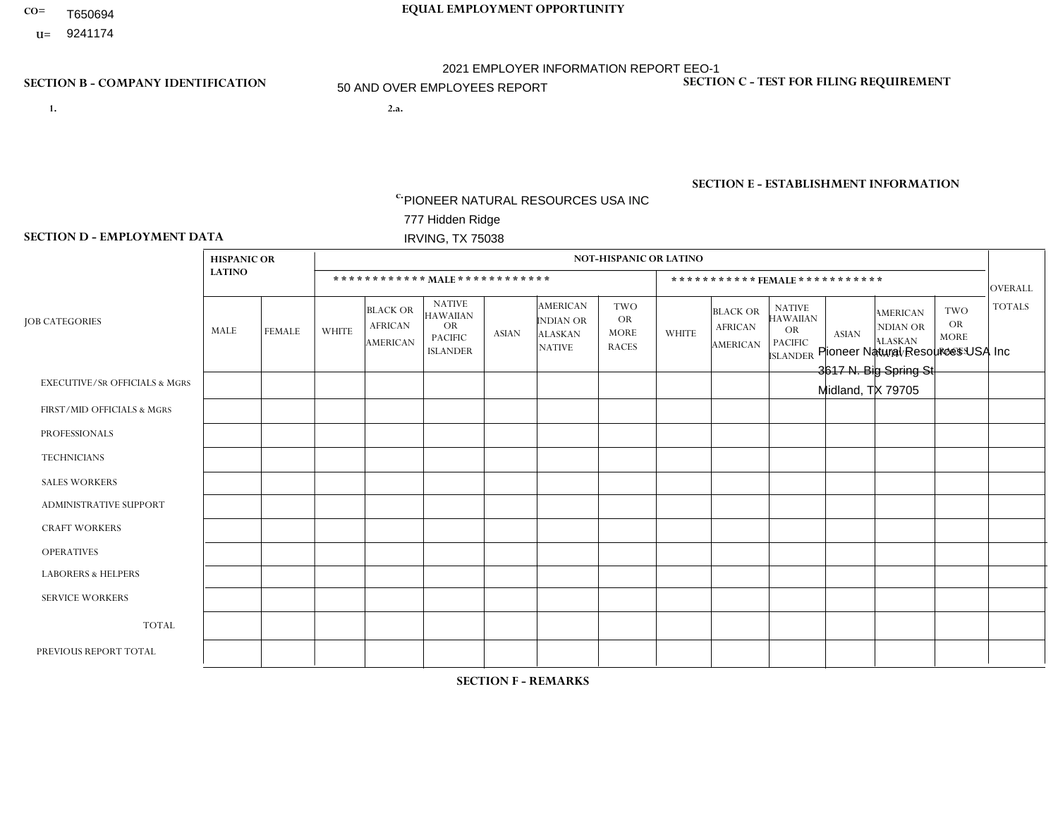- T650694
- **U=**

- **1. 2.a.** PIONEER NATURAL RESOURCES USA INC 777 Hidden Ridge IRVING, TX 75038
- 2.a. Pioneer Natural Resources USA Inc 3617 N. Big Spring St Midland, TX 79705

EIN= 752516853

## **SECTION B - COMPANY IDENTIFICATION SECTION C - TEST FOR FILING REQUIREMENT**

1- Y 2- N 3- N DUNS= 154679435

# **SECTION E - ESTABLISHMENT INFORMATION c.**

NAICS: 211120 - Crude Petroleum Extraction

### **SECTION D - EMPLOYMENT DATA**

|                                          | <b>HISPANIC OR</b> |                 |                |                                                      |                                                                                    |                |                                                                        | <b>NOT-HISPANIC OR LATINO</b>                          |              |                                               |                                                                                    |              |                                                                       |                                                        |                |
|------------------------------------------|--------------------|-----------------|----------------|------------------------------------------------------|------------------------------------------------------------------------------------|----------------|------------------------------------------------------------------------|--------------------------------------------------------|--------------|-----------------------------------------------|------------------------------------------------------------------------------------|--------------|-----------------------------------------------------------------------|--------------------------------------------------------|----------------|
|                                          | <b>LATINO</b>      |                 |                |                                                      | ************ MALE ************                                                     |                |                                                                        |                                                        |              |                                               | ***********FEMALE***********                                                       |              |                                                                       |                                                        | <b>OVERALL</b> |
| <b>JOB CATEGORIES</b>                    | MALE               | <b>FEMALE</b>   | <b>WHITE</b>   | <b>BLACK OR</b><br><b>AFRICAN</b><br><b>AMERICAN</b> | <b>NATIVE</b><br><b>HAWAIIAN</b><br><b>OR</b><br><b>PACIFIC</b><br><b>ISLANDER</b> | <b>ASIAN</b>   | <b>AMERICAN</b><br><b>INDIAN OR</b><br><b>ALASKAN</b><br><b>NATIVE</b> | <b>TWO</b><br><b>OR</b><br><b>MORE</b><br><b>RACES</b> | <b>WHITE</b> | <b>BLACK OR</b><br><b>AFRICAN</b><br>AMERICAN | <b>NATIVE</b><br><b>HAWAIIAN</b><br><b>OR</b><br><b>PACIFIC</b><br><b>ISLANDER</b> | <b>ASIAN</b> | <b>AMERICAN</b><br><b>NDIAN OR</b><br><b>ALASKAN</b><br><b>NATIVE</b> | <b>TWO</b><br><b>OR</b><br><b>MORE</b><br><b>RACES</b> | <b>TOTALS</b>  |
| <b>EXECUTIVE/SR OFFICIALS &amp; MGRS</b> | $\mathbf{0}$       | $\mathbf{0}$    | $\mathbf 0$    | 0                                                    | $\Omega$                                                                           | $\Omega$       | $\Omega$                                                               | $\mathbf{0}$                                           | 1            | $\Omega$                                      | $\Omega$                                                                           | $\Omega$     | $\Omega$                                                              | $\Omega$                                               | $\mathbf{1}$   |
| FIRST/MID OFFICIALS & MGRS               | 6                  | 6               | 35             | 0                                                    | $\Omega$                                                                           | $\Omega$       | $\Omega$                                                               | $\Omega$                                               | 17           | $\blacktriangleleft$                          | $\Omega$                                                                           | $\Omega$     | $\Omega$                                                              | $\Omega$                                               | 65             |
| <b>PROFESSIONALS</b>                     | 11                 | 29              | 35             | $\overline{c}$                                       | $\Omega$                                                                           | $\overline{2}$ |                                                                        | $\Omega$                                               | 27           | $\overline{2}$                                | $\Omega$                                                                           |              | $\Omega$                                                              | $\Omega$                                               | 110            |
| <b>TECHNICIANS</b>                       | 2                  | 12 <sup>2</sup> | $\overline{4}$ | 0                                                    | $\Omega$                                                                           | $\Omega$       | $\Omega$                                                               | $\Omega$                                               | 21           | 2                                             | $\Omega$                                                                           | $\Omega$     | $\Omega$                                                              | $\Omega$                                               | 41             |
| <b>SALES WORKERS</b>                     | $\mathbf 0$        | $\overline{0}$  | $\overline{1}$ | 0                                                    | $\Omega$                                                                           | $\Omega$       | $\Omega$                                                               | $\Omega$                                               | $\Omega$     | $\Omega$                                      | $\Omega$                                                                           | $\Omega$     | $\Omega$                                                              | $\Omega$                                               | $\mathbf{1}$   |
| ADMINISTRATIVE SUPPORT                   | 2                  | 11              | $\overline{1}$ | $\Omega$                                             | $\Omega$                                                                           | $\Omega$       | $\Omega$                                                               | $\Omega$                                               | 14           | $\Omega$                                      | $\Omega$                                                                           | $\Omega$     | $\Omega$                                                              | $\Omega$                                               | 28             |
| <b>CRAFT WORKERS</b>                     |                    | $\mathbf 0$     | $\mathbf{1}$   | 0                                                    | $\Omega$                                                                           | $\Omega$       | $\Omega$                                                               | $\Omega$                                               | $\Omega$     | $\Omega$                                      | $\Omega$                                                                           | $\Omega$     | $\Omega$                                                              | $\Omega$                                               | 2              |
| <b>OPERATIVES</b>                        |                    | $\mathbf{0}$    | $\mathbf 0$    | $\mathbf 0$                                          | $\Omega$                                                                           | $\Omega$       | $\Omega$                                                               | $\Omega$                                               | $\Omega$     | $\Omega$                                      | $\Omega$                                                                           | $\Omega$     | $\Omega$                                                              | $\Omega$                                               | $\overline{1}$ |
| <b>LABORERS &amp; HELPERS</b>            | $\mathbf 0$        | $\overline{0}$  | $\mathbf 0$    | 0                                                    | $\Omega$                                                                           | $\Omega$       | $\Omega$                                                               | $\Omega$                                               | $\Omega$     | $\Omega$                                      | $\Omega$                                                                           | $\Omega$     | $\Omega$                                                              | $\Omega$                                               | $\mathbf 0$    |
| <b>SERVICE WORKERS</b>                   | $\mathbf{0}$       | $\mathbf{0}$    | 0              | 0                                                    | $\Omega$                                                                           | $\Omega$       | $\Omega$                                                               | $\Omega$                                               | $\Omega$     | $\Omega$                                      | $\Omega$                                                                           | $\Omega$     | $\Omega$                                                              | $\Omega$                                               | $\mathbf 0$    |
| <b>TOTAL</b>                             | 23                 | 58              | 77             | $\overline{c}$                                       | $\Omega$                                                                           | 2              | 1                                                                      | $\Omega$                                               | 80           | 5                                             | $\Omega$                                                                           |              | $\Omega$                                                              | $\Omega$                                               | 249            |
| PREVIOUS REPORT TOTAL                    | 25                 | 63              | 71             | 2                                                    | $\Omega$                                                                           | $\Omega$       | $\overline{2}$                                                         | $\overline{2}$                                         | 82           | 6                                             | $\mathbf 0$                                                                        |              | $\Omega$                                                              | $\mathbf{0}$                                           | 254            |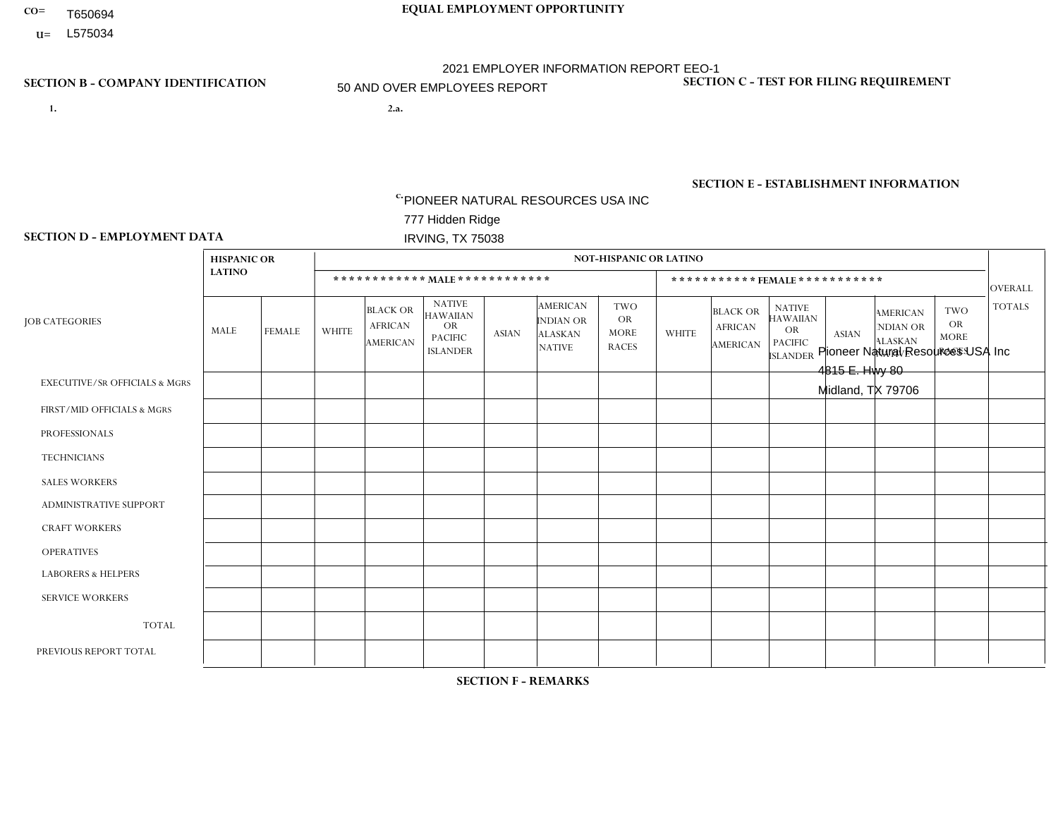- T650694
- **U=**

- **1. 2.a.** PIONEER NATURAL RESOURCES USA INC 777 Hidden Ridge IRVING, TX 75038
- 2.a. Pioneer Natural Resources USA Inc 4815 E. Hwy 80 Midland, TX 79706

EIN= 752516853

## **SECTION B - COMPANY IDENTIFICATION SECTION C - TEST FOR FILING REQUIREMENT**

1- Y 2- N 3- N DUNS= 154679435

# **SECTION E - ESTABLISHMENT INFORMATION c.**

NAICS: 211120 - Crude Petroleum Extraction

### **SECTION D - EMPLOYMENT DATA**

|                                          | <b>HISPANIC OR</b> |                |                |                                                      |                                                                                    |              |                                                                        | NOT-HISPANIC OR LATINO                                 |                |                                               |                                                                                    |              |                                                                       |                                                        |                |
|------------------------------------------|--------------------|----------------|----------------|------------------------------------------------------|------------------------------------------------------------------------------------|--------------|------------------------------------------------------------------------|--------------------------------------------------------|----------------|-----------------------------------------------|------------------------------------------------------------------------------------|--------------|-----------------------------------------------------------------------|--------------------------------------------------------|----------------|
|                                          | <b>LATINO</b>      |                |                |                                                      | ************ MALE ************                                                     |              |                                                                        |                                                        |                |                                               | ***********FEMALE***********                                                       |              |                                                                       |                                                        | <b>OVERALL</b> |
| <b>JOB CATEGORIES</b>                    | MALE               | <b>FEMALE</b>  | <b>WHITE</b>   | <b>BLACK OR</b><br><b>AFRICAN</b><br><b>AMERICAN</b> | <b>NATIVE</b><br><b>HAWAIIAN</b><br><b>OR</b><br><b>PACIFIC</b><br><b>ISLANDER</b> | <b>ASIAN</b> | <b>AMERICAN</b><br><b>INDIAN OR</b><br><b>ALASKAN</b><br><b>NATIVE</b> | <b>TWO</b><br><b>OR</b><br><b>MORE</b><br><b>RACES</b> | <b>WHITE</b>   | <b>BLACK OR</b><br><b>AFRICAN</b><br>AMERICAN | <b>NATIVE</b><br><b>HAWAIIAN</b><br><b>OR</b><br><b>PACIFIC</b><br><b>ISLANDER</b> | <b>ASIAN</b> | <b>AMERICAN</b><br><b>NDIAN OR</b><br><b>ALASKAN</b><br><b>NATIVE</b> | <b>TWO</b><br><b>OR</b><br><b>MORE</b><br><b>RACES</b> | <b>TOTALS</b>  |
| <b>EXECUTIVE/SR OFFICIALS &amp; MGRS</b> | $\Omega$           | $\mathbf 0$    | $\Omega$       | 0                                                    | $\Omega$                                                                           | $\Omega$     | $\Omega$                                                               | $\Omega$                                               | $\Omega$       | $\Omega$                                      | $\Omega$                                                                           | $\Omega$     | $\Omega$                                                              | $\Omega$                                               | $\mathbf{0}$   |
| FIRST/MID OFFICIALS & MGRS               | 22                 | 3              | 60             | $\mathbf{1}$                                         | $\Omega$                                                                           | $\Omega$     |                                                                        | 4                                                      | 3              | $\Omega$                                      | $\Omega$                                                                           | $\Omega$     | $\Omega$                                                              | $\Omega$                                               | 94             |
| <b>PROFESSIONALS</b>                     | 12                 | $\overline{4}$ | 33             | $\overline{c}$                                       | $\Omega$                                                                           |              | 1                                                                      | $\Omega$                                               | 8              | $\Omega$                                      | $\Omega$                                                                           | $\Omega$     | $\Omega$                                                              | $\Omega$                                               | 61             |
| <b>TECHNICIANS</b>                       | $\mathbf 0$        | $\overline{2}$ | $\mathbf 0$    | $\mathbf 0$                                          | $\Omega$                                                                           | $\Omega$     | $\Omega$                                                               | $\mathbf 0$                                            | $\mathbf 0$    | $\mathbf 0$                                   | $\mathbf 0$                                                                        | $\mathbf 0$  | $\Omega$                                                              | $\Omega$                                               | $\overline{2}$ |
| <b>SALES WORKERS</b>                     | $\mathbf 0$        | $\overline{0}$ | $\mathbf 0$    | $\mathbf 0$                                          | $\Omega$                                                                           | $\Omega$     | $\Omega$                                                               | $\Omega$                                               | $\Omega$       | $\Omega$                                      | $\Omega$                                                                           | $\Omega$     | $\Omega$                                                              | $\Omega$                                               | $\mathbf 0$    |
| <b>ADMINISTRATIVE SUPPORT</b>            | 6                  | 8              | $\overline{2}$ | $\mathbf 0$                                          | $\mathbf{0}$                                                                       | $\Omega$     | $\Omega$                                                               | $\Omega$                                               | 13             | $\overline{1}$                                | $\Omega$                                                                           | $\Omega$     |                                                                       | $\Omega$                                               | 31             |
| <b>CRAFT WORKERS</b>                     | 105                | $\mathbf{1}$   | 150            | $\mathbf{1}$                                         | $\Omega$                                                                           | -1           | $\overline{2}$                                                         | $\overline{2}$                                         | $\overline{2}$ | $\overline{1}$                                | $\Omega$                                                                           | $\Omega$     | $\Omega$                                                              | $\Omega$                                               | 265            |
| <b>OPERATIVES</b>                        | 3                  | $\Omega$       | 12             | 0                                                    | $\Omega$                                                                           | $\Omega$     | 1                                                                      |                                                        | $\Omega$       | $\Omega$                                      | $\Omega$                                                                           | $\Omega$     | $\Omega$                                                              | $\Omega$                                               | 17             |
| <b>LABORERS &amp; HELPERS</b>            | $\mathbf 0$        | $\mathbf{0}$   | $\mathbf 0$    | $\mathbf 0$                                          | $\Omega$                                                                           | $\Omega$     | $\Omega$                                                               | $\Omega$                                               | $\Omega$       | $\Omega$                                      | $\Omega$                                                                           | $\Omega$     | $\Omega$                                                              | $\Omega$                                               | 0              |
| <b>SERVICE WORKERS</b>                   | $\mathbf{0}$       | $\mathbf{0}$   | 0              | 0                                                    | $\Omega$                                                                           | $\Omega$     | $\Omega$                                                               | $\Omega$                                               | $\Omega$       | $\Omega$                                      | $\Omega$                                                                           | $\Omega$     | $\Omega$                                                              | $\Omega$                                               | 0              |
| <b>TOTAL</b>                             | 148                | 18             | 257            | 4                                                    | $\mathbf 0$                                                                        | 2            | 5                                                                      | $\overline{7}$                                         | 26             | 2                                             | $\mathbf 0$                                                                        | $\mathbf 0$  |                                                                       | $\mathbf{0}$                                           | 470            |
| PREVIOUS REPORT TOTAL                    | 138                | 24             | 265            | 3                                                    | $\Omega$                                                                           | 3            | $\overline{2}$                                                         | 4                                                      | 27             | $\overline{2}$                                | $\Omega$                                                                           | $\mathbf 0$  |                                                                       | $\mathbf{0}$                                           | 469            |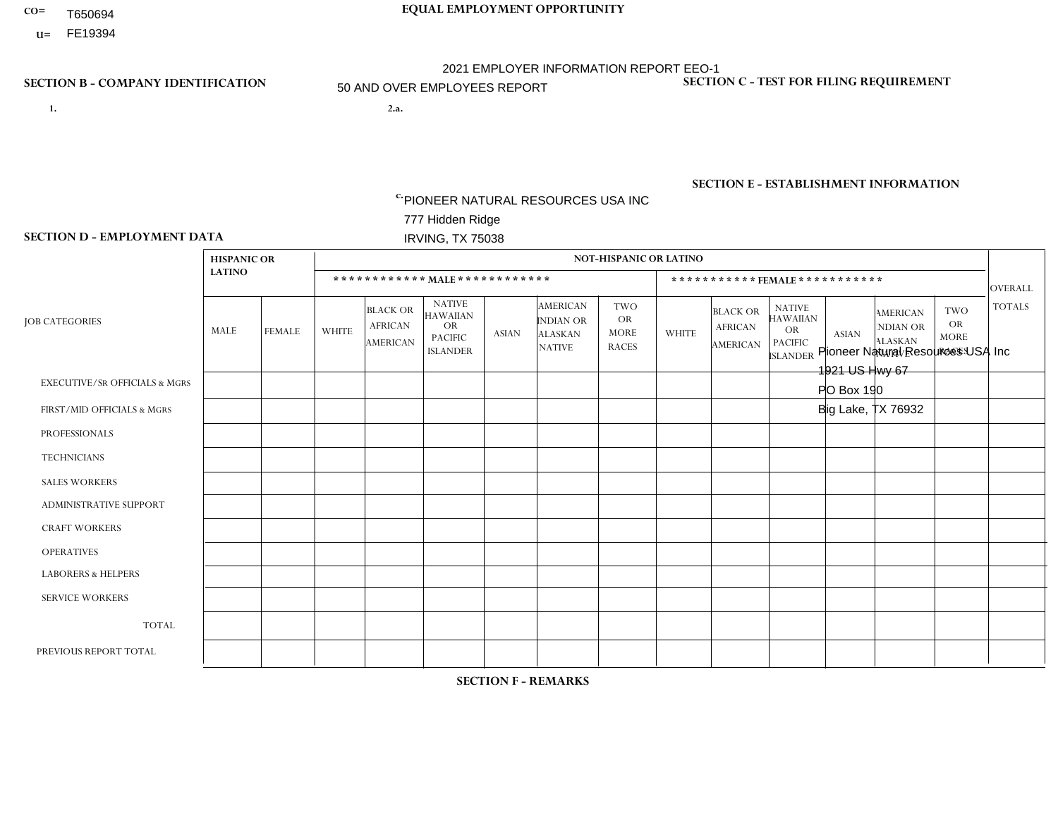- T650694
- **U=** FE19394

- **1. 2.a.** PIONEER NATURAL RESOURCES USA INC 777 Hidden Ridge IRVING, TX 75038
- 2.a. Pioneer Natural Resources USA Inc 1921 US Hwy 67 PO Box 190 Big Lake, TX 76932
	- EIN= 752516853

## **SECTION B - COMPANY IDENTIFICATION SECTION C - TEST FOR FILING REQUIREMENT**

1- Y 2- N 3- N DUNS= 154679435

# **SECTION E - ESTABLISHMENT INFORMATION c.**

NAICS: 211120 - Crude Petroleum Extraction

### **SECTION D - EMPLOYMENT DATA**

|                                          | <b>HISPANIC OR</b> |                |                |                                                      |                                                                                    |              |                                                                        | <b>NOT-HISPANIC OR LATINO</b>                          |              |                                                      |                                                                                    |              |                                                                       |                                                 |                |
|------------------------------------------|--------------------|----------------|----------------|------------------------------------------------------|------------------------------------------------------------------------------------|--------------|------------------------------------------------------------------------|--------------------------------------------------------|--------------|------------------------------------------------------|------------------------------------------------------------------------------------|--------------|-----------------------------------------------------------------------|-------------------------------------------------|----------------|
|                                          | <b>LATINO</b>      |                |                |                                                      | ************ MAIE************                                                      |              |                                                                        |                                                        |              |                                                      | *********** FEMALE ***********                                                     |              |                                                                       |                                                 | <b>OVERALL</b> |
| <b>JOB CATEGORIES</b>                    | MALE               | <b>FEMALE</b>  | <b>WHITE</b>   | <b>BLACK OR</b><br><b>AFRICAN</b><br><b>AMERICAN</b> | <b>NATIVE</b><br><b>HAWAIIAN</b><br><b>OR</b><br><b>PACIFIC</b><br><b>ISLANDER</b> | <b>ASIAN</b> | <b>AMERICAN</b><br><b>INDIAN OR</b><br><b>ALASKAN</b><br><b>NATIVE</b> | <b>TWO</b><br><b>OR</b><br><b>MORE</b><br><b>RACES</b> | <b>WHITE</b> | <b>BLACK OR</b><br><b>AFRICAN</b><br><b>AMERICAN</b> | <b>NATIVE</b><br><b>HAWAIIAN</b><br><b>OR</b><br><b>PACIFIC</b><br><b>ISLANDER</b> | <b>ASIAN</b> | <b>AMERICAN</b><br><b>NDIAN OR</b><br><b>ALASKAN</b><br><b>NATIVE</b> | TWO<br><b>OR</b><br><b>MORE</b><br><b>RACES</b> | <b>TOTALS</b>  |
| <b>EXECUTIVE/SR OFFICIALS &amp; MGRS</b> | $\Omega$           | $\Omega$       | $\mathbf 0$    | $\mathbf 0$                                          | 0                                                                                  | $\mathbf 0$  | $\mathbf 0$                                                            | $\Omega$                                               | $\Omega$     | $\Omega$                                             | $\Omega$                                                                           | $\Omega$     | $\Omega$                                                              | $\Omega$                                        | $\mathbf 0$    |
| FIRST/MID OFFICIALS & MGRS               | 6                  | $\overline{0}$ | 24             | $\mathbf{1}$                                         | 0                                                                                  | $\Omega$     | $\Omega$                                                               | $\Omega$                                               | 2            | $\overline{0}$                                       | $\Omega$                                                                           | $\Omega$     | $\Omega$                                                              | $\Omega$                                        | 33             |
| <b>PROFESSIONALS</b>                     | 4                  | $\Omega$       | 12             | $\mathbf 0$                                          | 0                                                                                  | $\Omega$     | $\Omega$                                                               | $\Omega$                                               |              | $\Omega$                                             | $\Omega$                                                                           | 0            | $\Omega$                                                              | $\Omega$                                        | 17             |
| <b>TECHNICIANS</b>                       | $\Omega$           | $\Omega$       | $\mathbf 0$    | $\mathbf 0$                                          | 0                                                                                  | $\mathbf 0$  | $\mathbf 0$                                                            | $\Omega$                                               |              | $\Omega$                                             | $\Omega$                                                                           | $\Omega$     | $\Omega$                                                              | $\mathbf 0$                                     | $\mathbf{1}$   |
| <b>SALES WORKERS</b>                     | $\Omega$           | $\Omega$       | $\Omega$       | $\mathbf 0$                                          | 0                                                                                  | $\Omega$     | $\Omega$                                                               | $\Omega$                                               | $\Omega$     | $\overline{0}$                                       | $\Omega$                                                                           | $\Omega$     | $\Omega$                                                              | $\mathbf 0$                                     | $\mathbf{0}$   |
| <b>ADMINISTRATIVE SUPPORT</b>            |                    |                | $\overline{2}$ | $\mathbf 0$                                          | 0                                                                                  | $\mathbf 0$  | $\Omega$                                                               | $\Omega$                                               | 6            | $\Omega$                                             | $\Omega$                                                                           | $\Omega$     | $\Omega$                                                              | $\mathbf{1}$                                    | 11             |
| <b>CRAFT WORKERS</b>                     | 32                 | $\Omega$       | 105            | $\mathbf 0$                                          | 0                                                                                  | $\mathbf 0$  | $\Omega$                                                               | $\overline{2}$                                         | $\Omega$     | $\Omega$                                             | $\Omega$                                                                           | $\Omega$     | $\Omega$                                                              | $\Omega$                                        | 139            |
| <b>OPERATIVES</b>                        | $\overline{2}$     | $\overline{0}$ | $\overline{4}$ | $\mathbf 0$                                          | 0                                                                                  | $\mathbf{1}$ | $\mathbf 0$                                                            | $\Omega$                                               | $\Omega$     | $\Omega$                                             | $\Omega$                                                                           | $\Omega$     | $\Omega$                                                              | $\Omega$                                        | $\overline{7}$ |
| <b>LABORERS &amp; HELPERS</b>            | $\Omega$           | $\Omega$       | $\mathbf 0$    | $\mathbf 0$                                          | 0                                                                                  | $\mathbf 0$  | $\Omega$                                                               | $\Omega$                                               | $\Omega$     | $\Omega$                                             | $\Omega$                                                                           | $\Omega$     | $\Omega$                                                              | $\Omega$                                        | $\mathbf 0$    |
| <b>SERVICE WORKERS</b>                   | $\Omega$           | $\mathbf{0}$   | $\mathbf 0$    | $\mathbf 0$                                          | 0                                                                                  | $\mathbf 0$  | $\mathbf 0$                                                            | $\Omega$                                               | $\Omega$     | $\Omega$                                             | $\Omega$                                                                           | $\Omega$     | $\Omega$                                                              | $\Omega$                                        | $\mathbf{0}$   |
| <b>TOTAL</b>                             | 45                 |                | 147            | $\mathbf{1}$                                         | 0                                                                                  | $\mathbf{1}$ | $\mathbf 0$                                                            | $\overline{2}$                                         | 10           | $\Omega$                                             | $\Omega$                                                                           | 0            | $\Omega$                                                              |                                                 | 208            |
| PREVIOUS REPORT TOTAL                    | 39                 | $\overline{2}$ | 136            | $\overline{2}$                                       | 0                                                                                  | $\mathbf{1}$ | $\mathbf 0$                                                            | 2                                                      | 11           | $\Omega$                                             | $\Omega$                                                                           | 0            | $\mathbf 0$                                                           |                                                 | 194            |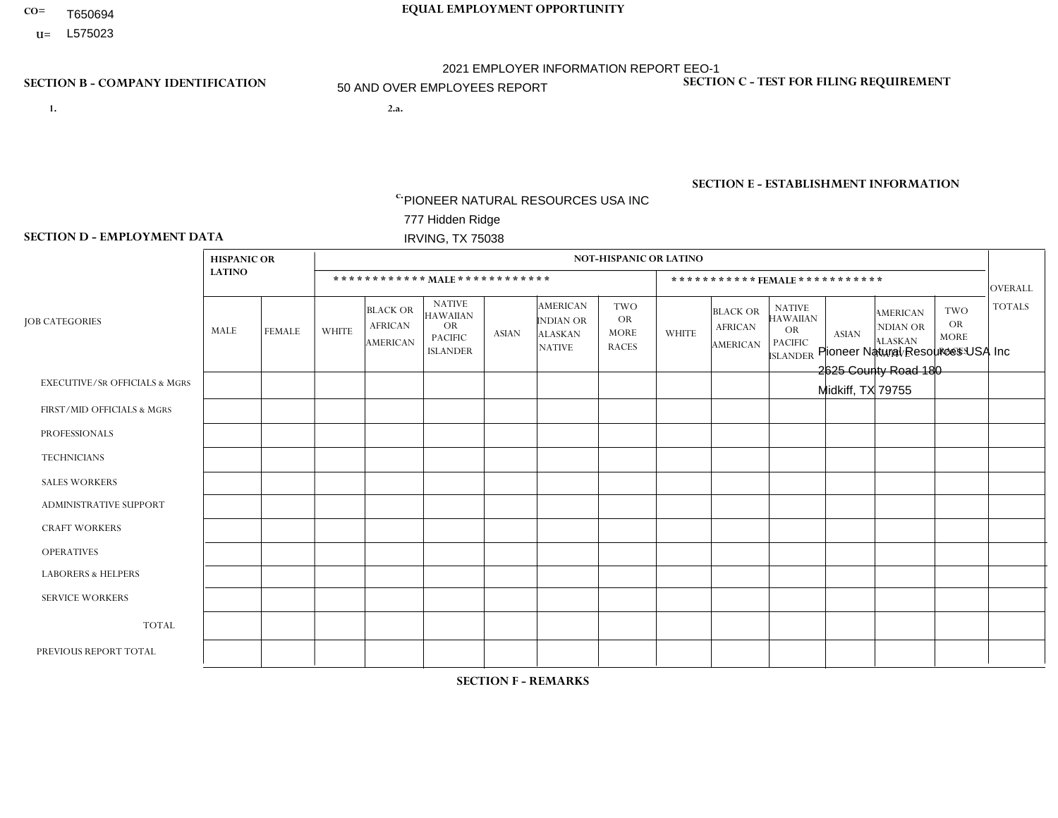- T650694
- **U=**

- **1. 2.a.** PIONEER NATURAL RESOURCES USA INC 777 Hidden Ridge IRVING, TX 75038
- 2.a. Pioneer Natural Resources USA Inc 2625 County Road 180 Midkiff, TX 79755

EIN= 752516853

## **SECTION B - COMPANY IDENTIFICATION SECTION C - TEST FOR FILING REQUIREMENT**

1- Y 2- N 3- N DUNS= 154679435

# **SECTION E - ESTABLISHMENT INFORMATION c.**

NAICS: 211120 - Crude Petroleum Extraction

### **SECTION D - EMPLOYMENT DATA**

|                                          | <b>HISPANIC OR</b> |                |                |                                                      |                                                                                    |                |                                                                        | <b>NOT-HISPANIC OR LATINO</b>                          |              |                                               |                                                                                    |              |                                                                       |                                                        |                |
|------------------------------------------|--------------------|----------------|----------------|------------------------------------------------------|------------------------------------------------------------------------------------|----------------|------------------------------------------------------------------------|--------------------------------------------------------|--------------|-----------------------------------------------|------------------------------------------------------------------------------------|--------------|-----------------------------------------------------------------------|--------------------------------------------------------|----------------|
|                                          | <b>LATINO</b>      |                |                |                                                      | ************ MAIE************                                                      |                |                                                                        |                                                        |              |                                               | ***********FEMALE***********                                                       |              |                                                                       |                                                        | <b>OVERALL</b> |
| <b>JOB CATEGORIES</b>                    | MALE               | <b>FEMALE</b>  | <b>WHITE</b>   | <b>BLACK OR</b><br><b>AFRICAN</b><br><b>AMERICAN</b> | <b>NATIVE</b><br><b>HAWAIIAN</b><br><b>OR</b><br><b>PACIFIC</b><br><b>ISLANDER</b> | <b>ASIAN</b>   | <b>AMERICAN</b><br><b>INDIAN OR</b><br><b>ALASKAN</b><br><b>NATIVE</b> | <b>TWO</b><br><b>OR</b><br><b>MORE</b><br><b>RACES</b> | <b>WHITE</b> | <b>BLACK OR</b><br><b>AFRICAN</b><br>AMERICAN | <b>NATIVE</b><br><b>HAWAIIAN</b><br><b>OR</b><br><b>PACIFIC</b><br><b>ISLANDER</b> | <b>ASIAN</b> | <b>AMERICAN</b><br><b>NDIAN OR</b><br><b>ALASKAN</b><br><b>NATIVE</b> | <b>TWO</b><br><b>OR</b><br><b>MORE</b><br><b>RACES</b> | <b>TOTALS</b>  |
| <b>EXECUTIVE/SR OFFICIALS &amp; MGRS</b> | $\mathbf{0}$       | $\mathbf 0$    | $\mathbf 0$    | 0                                                    | $\Omega$                                                                           | $\Omega$       | 0                                                                      | $\mathbf{0}$                                           | $\Omega$     | $\Omega$                                      | $\Omega$                                                                           | $\Omega$     | $\Omega$                                                              | $\Omega$                                               | $\mathbf 0$    |
| FIRST/MID OFFICIALS & MGRS               | $\overline{7}$     | $\overline{1}$ | 21             | 0                                                    | $\Omega$                                                                           | $\Omega$       | $\Omega$                                                               | $\Omega$                                               | $\Omega$     | $\Omega$                                      | $\Omega$                                                                           | $\Omega$     | $\Omega$                                                              | $\Omega$                                               | 29             |
| <b>PROFESSIONALS</b>                     | 3                  | $\mathbf 0$    | $\overline{7}$ | $\mathbf 0$                                          | $\Omega$                                                                           | $\Omega$       | $\Omega$                                                               | $\Omega$                                               | 3            | $\Omega$                                      | $\Omega$                                                                           | $\Omega$     | $\Omega$                                                              | $\Omega$                                               | 13             |
| <b>TECHNICIANS</b>                       | -1                 | $\overline{0}$ | $\mathbf 0$    | $\mathbf 0$                                          | $\Omega$                                                                           | $\Omega$       | $\Omega$                                                               | $\Omega$                                               | $\Omega$     | $\Omega$                                      | $\Omega$                                                                           | $\Omega$     | $\Omega$                                                              | $\mathbf 0$                                            | $\mathbf{1}$   |
| <b>SALES WORKERS</b>                     | $\mathbf{0}$       | $\mathbf 0$    | $\Omega$       | $\Omega$                                             | $\Omega$                                                                           | $\Omega$       | $\Omega$                                                               | $\Omega$                                               | $\Omega$     | $\Omega$                                      | $\Omega$                                                                           | $\Omega$     | $\Omega$                                                              | $\Omega$                                               | $\mathbf 0$    |
| <b>ADMINISTRATIVE SUPPORT</b>            | $\overline{4}$     | $\overline{2}$ | $\mathbf 0$    | $\mathbf 0$                                          | $\Omega$                                                                           | $\Omega$       | $\Omega$                                                               | $\Omega$                                               | 3            | $\Omega$                                      | $\Omega$                                                                           | $\Omega$     | $\Omega$                                                              | $\Omega$                                               | 9              |
| <b>CRAFT WORKERS</b>                     | 32                 | $\Omega$       | 58             | 4                                                    | $\Omega$                                                                           | $\Omega$       | $\overline{2}$                                                         | $\overline{2}$                                         | $\Omega$     | $\Omega$                                      | $\Omega$                                                                           | $\Omega$     | $\Omega$                                                              | $\Omega$                                               | 98             |
| <b>OPERATIVES</b>                        | 3                  | $\mathbf 0$    | 5              | $\mathbf 0$                                          | $\Omega$                                                                           | $\Omega$       | $\Omega$                                                               | $\Omega$                                               | $\Omega$     | $\Omega$                                      | $\Omega$                                                                           | $\Omega$     | $\Omega$                                                              | $\Omega$                                               | 8              |
| <b>LABORERS &amp; HELPERS</b>            | $\mathbf{0}$       | $\Omega$       | $\Omega$       | 0                                                    | $\Omega$                                                                           | $\Omega$       | $\Omega$                                                               | $\Omega$                                               | $\Omega$     | $\Omega$                                      | $\Omega$                                                                           | $\Omega$     | $\Omega$                                                              | $\Omega$                                               | $\mathbf 0$    |
| <b>SERVICE WORKERS</b>                   | $\mathbf{0}$       | $\overline{0}$ | $\mathbf 0$    | $\mathbf 0$                                          | $\Omega$                                                                           | $\Omega$       | $\Omega$                                                               | $\Omega$                                               | $\Omega$     | $\Omega$                                      | $\Omega$                                                                           | $\Omega$     | $\Omega$                                                              | $\Omega$                                               | $\mathbf 0$    |
| <b>TOTAL</b>                             | 50                 | 3              | 91             | 4                                                    | $\Omega$                                                                           | $\Omega$       | $\overline{2}$                                                         | $\overline{2}$                                         | 6            | $\Omega$                                      | $\Omega$                                                                           | $\mathbf 0$  | $\Omega$                                                              | $\Omega$                                               | 158            |
| PREVIOUS REPORT TOTAL                    | 53                 | 5              | 81             | 5                                                    | $\Omega$                                                                           | $\overline{2}$ | 1                                                                      | $\overline{2}$                                         | 6            | $\Omega$                                      | $\Omega$                                                                           | $\Omega$     | $\Omega$                                                              | $\mathbf 0$                                            | 155            |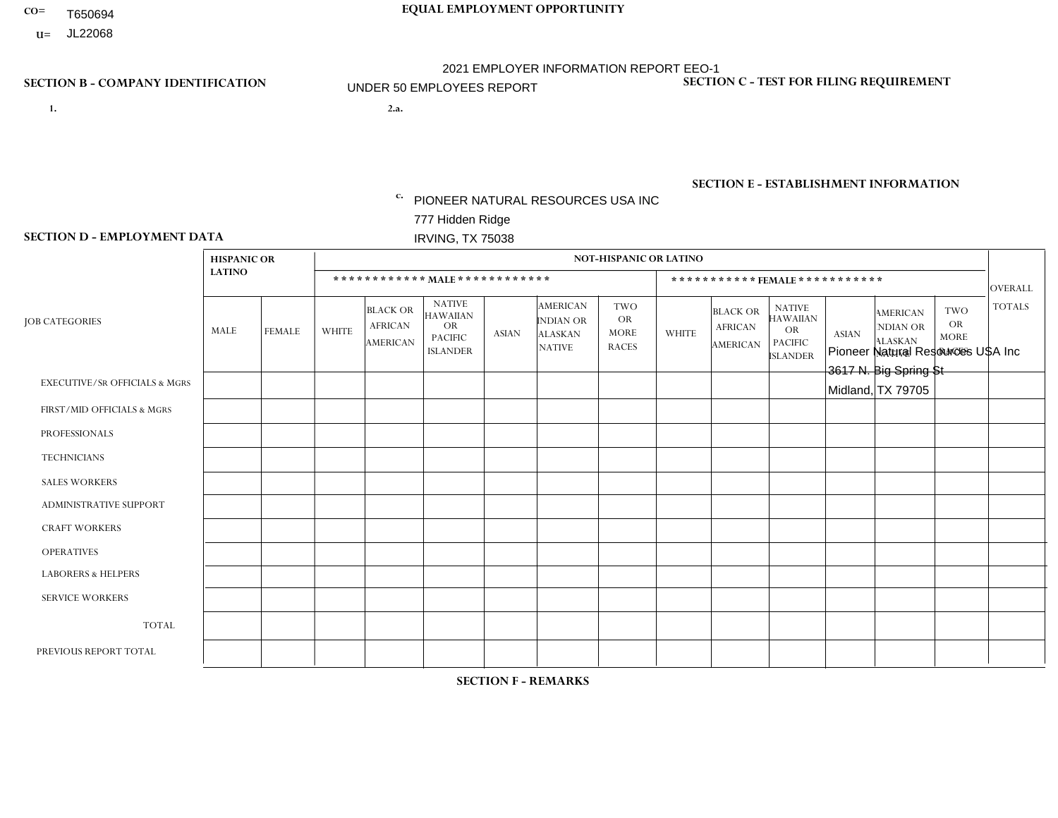- T650694
- **U=**

- **1. 2.a.** PIONEER NATURAL RESOURCES USA INC 777 Hidden Ridge IRVING, TX 75038
- 2.a. Pioneer Natural Resources USA Inc 3617 N. Big Spring St Midland, TX 79705

EIN= 900704487

## **SECTION B - COMPANY IDENTIFICATION SECTION C - TEST FOR FILING REQUIREMENT**

1- Y 2- N 3- N DUNS= 154679435

# **SECTION E - ESTABLISHMENT INFORMATION c.**

NAICS: 211120 - Crude Petroleum Extraction

### **SECTION D - EMPLOYMENT DATA**

|                                          | <b>HISPANIC OR</b> |                |                |                                                      |                                                                                    |              |                                                                        | <b>NOT-HISPANIC OR LATINO</b>                          |              |                                                      |                                                                                    |              |                                                                       |                                                 |                |
|------------------------------------------|--------------------|----------------|----------------|------------------------------------------------------|------------------------------------------------------------------------------------|--------------|------------------------------------------------------------------------|--------------------------------------------------------|--------------|------------------------------------------------------|------------------------------------------------------------------------------------|--------------|-----------------------------------------------------------------------|-------------------------------------------------|----------------|
|                                          | <b>LATINO</b>      |                |                |                                                      | ************ MAIE************                                                      |              |                                                                        |                                                        |              |                                                      | ***********FEMALE ***********                                                      |              |                                                                       |                                                 | <b>OVERALL</b> |
| <b>JOB CATEGORIES</b>                    | MALE               | <b>FEMALE</b>  | <b>WHITE</b>   | <b>BLACK OR</b><br><b>AFRICAN</b><br><b>AMERICAN</b> | <b>NATIVE</b><br><b>HAWAIIAN</b><br><b>OR</b><br><b>PACIFIC</b><br><b>ISLANDER</b> | <b>ASIAN</b> | <b>AMERICAN</b><br><b>INDIAN OR</b><br><b>ALASKAN</b><br><b>NATIVE</b> | <b>TWO</b><br><b>OR</b><br><b>MORE</b><br><b>RACES</b> | <b>WHITE</b> | <b>BLACK OR</b><br><b>AFRICAN</b><br><b>AMERICAN</b> | <b>NATIVE</b><br><b>HAWAIIAN</b><br><b>OR</b><br><b>PACIFIC</b><br><b>ISLANDER</b> | <b>ASIAN</b> | <b>AMERICAN</b><br><b>NDIAN OR</b><br><b>ALASKAN</b><br><b>NATIVE</b> | TWO<br><b>OR</b><br><b>MORE</b><br><b>RACES</b> | <b>TOTALS</b>  |
| <b>EXECUTIVE/SR OFFICIALS &amp; MGRS</b> | $\Omega$           | 0              | $\mathbf 0$    | $\mathbf 0$                                          | $\mathbf 0$                                                                        | $\mathbf 0$  | $\mathbf 0$                                                            | $\Omega$                                               | $\Omega$     | $\Omega$                                             | $\Omega$                                                                           | $\Omega$     | $\mathbf{0}$                                                          | $\mathbf 0$                                     | $\mathbf 0$    |
| FIRST/MID OFFICIALS & MGRS               | $\Omega$           | $\Omega$       | $\mathbf{1}$   | $\Omega$                                             | 0                                                                                  | $\mathbf 0$  | $\Omega$                                                               | $\Omega$                                               | $\Omega$     | $\overline{0}$                                       | $\Omega$                                                                           | 0            | $\Omega$                                                              | $\Omega$                                        | 1              |
| <b>PROFESSIONALS</b>                     | $\Omega$           | $\Omega$       | $\mathbf 0$    | $\Omega$                                             | 0                                                                                  | $\Omega$     | $\Omega$                                                               | $\Omega$                                               | $\Omega$     | $\Omega$                                             | $\Omega$                                                                           | $\Omega$     | $\Omega$                                                              | $\Omega$                                        | $\mathbf 0$    |
| <b>TECHNICIANS</b>                       | $\Omega$           | $\Omega$       | $\mathbf 0$    | $\mathbf 0$                                          | 0                                                                                  | $\mathbf 0$  | $\Omega$                                                               | $\Omega$                                               | $\Omega$     | $\Omega$                                             | $\Omega$                                                                           | $\Omega$     | $\Omega$                                                              | $\Omega$                                        | $\mathbf 0$    |
| <b>SALES WORKERS</b>                     | $\Omega$           | $\overline{0}$ | $\mathbf 0$    | $\mathbf 0$                                          | 0                                                                                  | $\mathbf 0$  | $\mathbf 0$                                                            | $\Omega$                                               | $\Omega$     | $\Omega$                                             | $\Omega$                                                                           | $\Omega$     | $\mathbf 0$                                                           | $\mathbf 0$                                     | $\mathbf{0}$   |
| <b>ADMINISTRATIVE SUPPORT</b>            | 3                  | $\overline{0}$ | 6              | $\mathbf 0$                                          | 0                                                                                  | $\mathbf 0$  | $\mathbf 0$                                                            | $\Omega$                                               | $\Omega$     | $\Omega$                                             | $\Omega$                                                                           | $\Omega$     | $\mathbf 0$                                                           | $\mathbf 0$                                     | 9              |
| <b>CRAFT WORKERS</b>                     |                    | $\overline{2}$ | $\mathbf 0$    | $\mathbf 0$                                          | 0                                                                                  | $\mathbf 0$  | $\mathbf 0$                                                            | $\mathbf 0$                                            |              | $\Omega$                                             | $\Omega$                                                                           | $\Omega$     | $\Omega$                                                              | $\Omega$                                        | $\overline{4}$ |
| <b>OPERATIVES</b>                        | $\Omega$           | $\Omega$       | $\mathbf 0$    | $\mathbf 0$                                          | 0                                                                                  | $\Omega$     | $\Omega$                                                               | $\Omega$                                               | $\Omega$     | $\Omega$                                             | $\Omega$                                                                           | $\Omega$     | $\Omega$                                                              | $\Omega$                                        | $\mathbf 0$    |
| <b>LABORERS &amp; HELPERS</b>            | $\Omega$           | $\Omega$       | $\mathbf 0$    | $\mathbf 0$                                          | 0                                                                                  | $\mathbf 0$  | $\Omega$                                                               | $\Omega$                                               | $\mathbf{0}$ | $\Omega$                                             | $\Omega$                                                                           | $\Omega$     | $\Omega$                                                              | $\Omega$                                        | $\mathbf{0}$   |
| <b>SERVICE WORKERS</b>                   | $\Omega$           | $\Omega$       | $\mathbf 0$    | $\mathbf 0$                                          | 0                                                                                  | $\mathbf 0$  | $\Omega$                                                               | $\Omega$                                               | $\mathbf{0}$ | $\Omega$                                             | $\Omega$                                                                           | $\Omega$     | $\Omega$                                                              | $\Omega$                                        | $\overline{0}$ |
| <b>TOTAL</b>                             | 4                  | $\overline{2}$ | $\overline{7}$ | $\mathbf 0$                                          | 0                                                                                  | $\mathbf 0$  | $\mathbf 0$                                                            | $\mathbf 0$                                            |              | $\Omega$                                             | $\Omega$                                                                           | $\Omega$     | $\Omega$                                                              | $\mathbf 0$                                     | 14             |
| PREVIOUS REPORT TOTAL                    | $\Omega$           |                | $\mathbf{1}$   | $\mathbf 0$                                          | 0                                                                                  | $\mathbf 0$  | $\mathbf 0$                                                            | 0                                                      | $\mathbf 0$  | $\mathbf{0}$                                         | $\Omega$                                                                           | 0            | $\mathbf{0}$                                                          | $\mathbf{0}$                                    | $\overline{2}$ |

**SECTION F - REMARKS**

hiring activity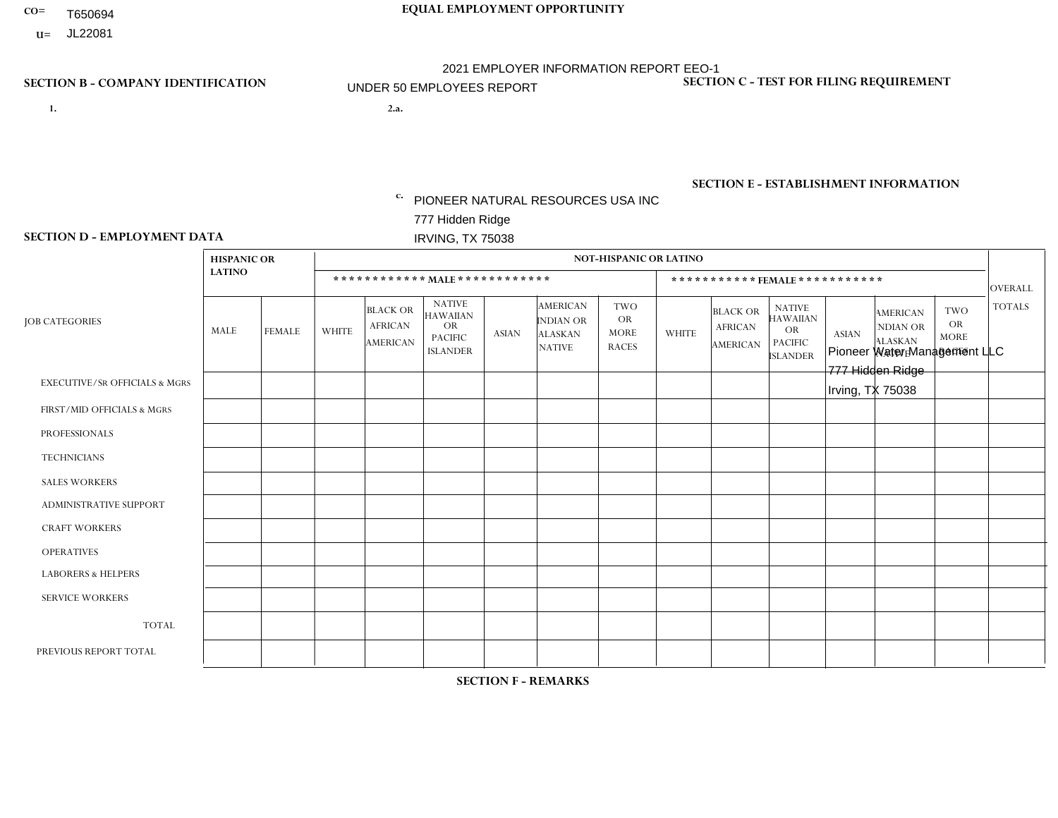- T650694
- **U=**

- **1. 2.a.** PIONEER NATURAL RESOURCES USA INC 777 Hidden Ridge IRVING, TX 75038
- 2.a. Pioneer Water Management LLC 777 Hidden Ridge Irving, TX 75038

EIN= 464309698

## **SECTION B - COMPANY IDENTIFICATION SECTION C - TEST FOR FILING REQUIREMENT**

1- Y 2- N 3- N DUNS= 154679435

## **SECTION E - ESTABLISHMENT INFORMATION c.** NAICS: 213112 - Support Activities for Oil and Gas **Operations**

### **SECTION D - EMPLOYMENT DATA**

|                                          | <b>HISPANIC OR</b> |               |                |                                                      |                                                                              |              |                                                                        | <b>NOT-HISPANIC OR LATINO</b>                          |                |                                                      |                                                                                    |              |                                                                       |                                                        |                |
|------------------------------------------|--------------------|---------------|----------------|------------------------------------------------------|------------------------------------------------------------------------------|--------------|------------------------------------------------------------------------|--------------------------------------------------------|----------------|------------------------------------------------------|------------------------------------------------------------------------------------|--------------|-----------------------------------------------------------------------|--------------------------------------------------------|----------------|
|                                          | <b>LATINO</b>      |               |                |                                                      | ************ MALE ************                                               |              |                                                                        |                                                        |                |                                                      | ***********FEMALE***********                                                       |              |                                                                       |                                                        | <b>OVERALL</b> |
| <b>JOB CATEGORIES</b>                    | MALE               | <b>FEMALE</b> | <b>WHITE</b>   | <b>BLACK OR</b><br><b>AFRICAN</b><br><b>AMERICAN</b> | <b>NATIVE</b><br><b>HAWAIIAN</b><br>OR.<br><b>PACIFIC</b><br><b>ISLANDER</b> | <b>ASIAN</b> | <b>AMERICAN</b><br><b>INDIAN OR</b><br><b>ALASKAN</b><br><b>NATIVE</b> | <b>TWO</b><br><b>OR</b><br><b>MORE</b><br><b>RACES</b> | <b>WHITE</b>   | <b>BLACK OR</b><br><b>AFRICAN</b><br><b>AMERICAN</b> | <b>NATIVE</b><br><b>HAWAIIAN</b><br><b>OR</b><br><b>PACIFIC</b><br><b>ISLANDER</b> | <b>ASIAN</b> | <b>AMERICAN</b><br><b>NDIAN OR</b><br><b>ALASKAN</b><br><b>NATIVE</b> | <b>TWO</b><br><b>OR</b><br><b>MORE</b><br><b>RACES</b> | <b>TOTALS</b>  |
| <b>EXECUTIVE/SR OFFICIALS &amp; MGRS</b> | $\mathbf{0}$       | $\Omega$      | 1              | $\Omega$                                             | $\Omega$                                                                     | $\Omega$     | 0                                                                      | $\Omega$                                               | $\Omega$       | $\Omega$                                             | 0                                                                                  | $\Omega$     | $\Omega$                                                              | $\Omega$                                               | $\mathbf{1}$   |
| FIRST/MID OFFICIALS & MGRS               | $\Omega$           | $\Omega$      | $\mathbf{3}$   | $\Omega$                                             | $\Omega$                                                                     | $\Omega$     | 0                                                                      | $\Omega$                                               | 1              | $\Omega$                                             | $\Omega$                                                                           | $\Omega$     | $\Omega$                                                              | $\Omega$                                               | 4              |
| <b>PROFESSIONALS</b>                     | $\Omega$           | $\mathbf 0$   | 3              | $\Omega$                                             | $\Omega$                                                                     | $\Omega$     | $\Omega$                                                               | $\Omega$                                               | $\overline{2}$ | $\Omega$                                             | $\Omega$                                                                           | $\Omega$     | $\mathbf{0}$                                                          | $\Omega$                                               | 5              |
| <b>TECHNICIANS</b>                       | 0                  | $\mathbf 0$   | $\overline{2}$ | $\Omega$                                             | $\Omega$                                                                     | $\Omega$     | $\Omega$                                                               | $\mathbf 0$                                            | 1              | $\mathbf 0$                                          | $\mathbf 0$                                                                        | $\Omega$     | $\mathbf{0}$                                                          | 1                                                      | $\overline{4}$ |
| <b>SALES WORKERS</b>                     | $\mathbf{0}$       | $\Omega$      | $\Omega$       | $\Omega$                                             | $\Omega$                                                                     | $\Omega$     | $\Omega$                                                               | $\Omega$                                               | $\Omega$       | $\Omega$                                             | $\Omega$                                                                           | $\Omega$     | $\mathbf{0}$                                                          | $\Omega$                                               | $\mathbf 0$    |
| <b>ADMINISTRATIVE SUPPORT</b>            | $\Omega$           | $\Omega$      | $\Omega$       | $\Omega$                                             | $\Omega$                                                                     | $\Omega$     | 0                                                                      | $\Omega$                                               | $\Omega$       | $\Omega$                                             | $\Omega$                                                                           | $\Omega$     | $\Omega$                                                              | $\Omega$                                               | 0              |
| <b>CRAFT WORKERS</b>                     | 4                  | $\Omega$      | 8              | $\Omega$                                             | $\Omega$                                                                     | $\Omega$     | $\Omega$                                                               | $\Omega$                                               | $\Omega$       | $\Omega$                                             | $\Omega$                                                                           | $\Omega$     | $\Omega$                                                              | $\Omega$                                               | 12             |
| <b>OPERATIVES</b>                        | $\Omega$           | $\mathbf 0$   | $\mathbf 0$    | $\Omega$                                             | $\Omega$                                                                     | $\Omega$     | 0                                                                      | $\Omega$                                               | 0              | $\Omega$                                             | $\Omega$                                                                           | $\Omega$     | $\Omega$                                                              | $\Omega$                                               | $\mathbf 0$    |
| <b>LABORERS &amp; HELPERS</b>            | $\mathbf{0}$       | $\Omega$      | $\Omega$       | $\Omega$                                             | $\Omega$                                                                     | $\Omega$     | 0                                                                      | $\Omega$                                               | $\Omega$       | $\Omega$                                             | 0                                                                                  | $\Omega$     | $\Omega$                                                              | $\Omega$                                               | 0              |
| <b>SERVICE WORKERS</b>                   | $\Omega$           | $\mathbf 0$   | 0              | 0                                                    | $\Omega$                                                                     | $\Omega$     | 0                                                                      | $\Omega$                                               | $\Omega$       | $\Omega$                                             | $\Omega$                                                                           | $\Omega$     | $\Omega$                                                              | $\mathbf 0$                                            | 0              |
| <b>TOTAL</b>                             | 4                  | $\mathbf 0$   | 17             | 0                                                    | $\Omega$                                                                     | $\Omega$     | $\Omega$                                                               | $\Omega$                                               | 4              | $\mathbf 0$                                          | $\mathbf 0$                                                                        | $\mathbf 0$  | $\mathbf 0$                                                           | 1                                                      | 26             |
| PREVIOUS REPORT TOTAL                    | 3                  |               | 13             | $\Omega$                                             | $\Omega$                                                                     | $\Omega$     | 0                                                                      | $\Omega$                                               | 4              | $\Omega$                                             | 0                                                                                  | $\Omega$     | $\Omega$                                                              | 1                                                      | 22             |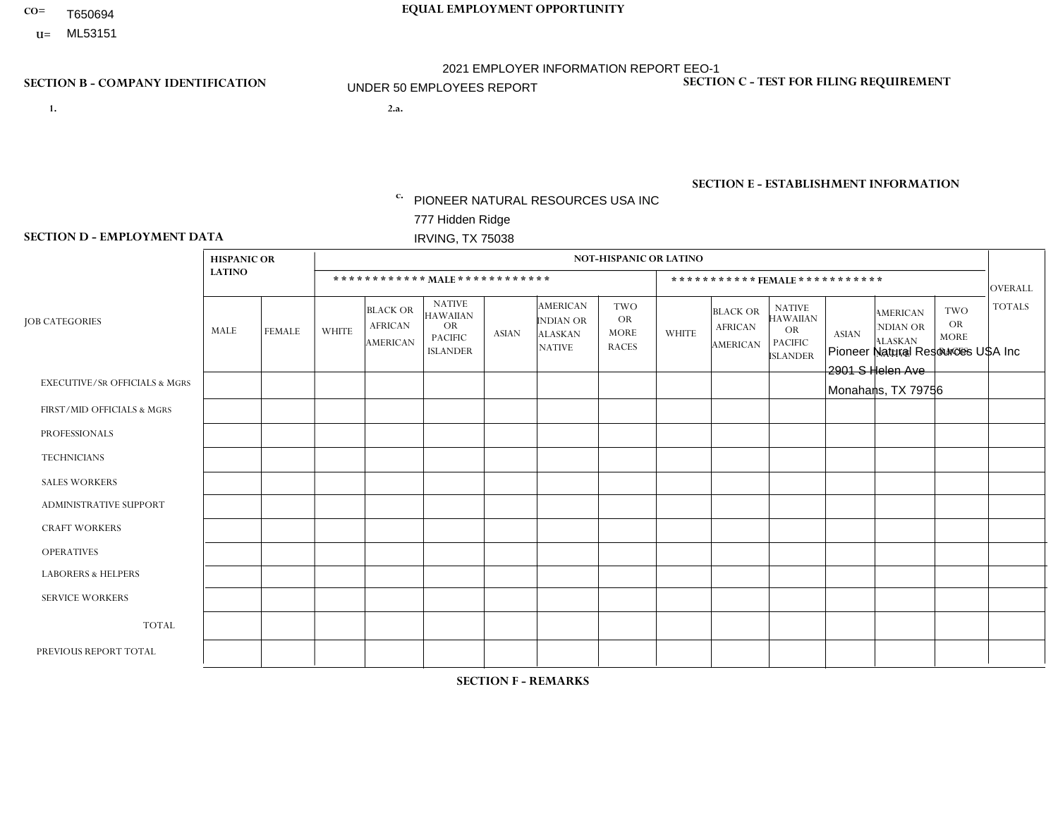- T650694
- **U=**

- **1. 2.a.** PIONEER NATURAL RESOURCES USA INC 777 Hidden Ridge IRVING, TX 75038
- 2.a. Pioneer Natural Resources USA Inc 2901 S Helen Ave Monahans, TX 79756

EIN= 262191014

## **SECTION B - COMPANY IDENTIFICATION SECTION C - TEST FOR FILING REQUIREMENT**

1- Y 2- N 3- N DUNS= 154679435

# **SECTION E - ESTABLISHMENT INFORMATION c.**

NAICS: 211120 - Crude Petroleum Extraction

### **SECTION D - EMPLOYMENT DATA**

|                                          | <b>HISPANIC OR</b> |               |                |                                                      |                                                                                    |              |                                                                 | <b>NOT-HISPANIC OR LATINO</b>                          |              |                                                      |                                                                                    |              |                                                                       |                                                        |                |
|------------------------------------------|--------------------|---------------|----------------|------------------------------------------------------|------------------------------------------------------------------------------------|--------------|-----------------------------------------------------------------|--------------------------------------------------------|--------------|------------------------------------------------------|------------------------------------------------------------------------------------|--------------|-----------------------------------------------------------------------|--------------------------------------------------------|----------------|
|                                          | <b>LATINO</b>      |               |                |                                                      | ************ MALE************                                                      |              |                                                                 |                                                        |              |                                                      | ***********FEMALE***********                                                       |              |                                                                       |                                                        | <b>OVERALL</b> |
| <b>JOB CATEGORIES</b>                    | MALE               | <b>FEMALE</b> | <b>WHITE</b>   | <b>BLACK OR</b><br><b>AFRICAN</b><br><b>AMERICAN</b> | <b>NATIVE</b><br><b>HAWAIIAN</b><br><b>OR</b><br><b>PACIFIC</b><br><b>ISLANDER</b> | <b>ASIAN</b> | <b>AMERICAN</b><br>INDIAN OR<br><b>ALASKAN</b><br><b>NATIVE</b> | <b>TWO</b><br><b>OR</b><br><b>MORE</b><br><b>RACES</b> | <b>WHITE</b> | <b>BLACK OR</b><br><b>AFRICAN</b><br><b>AMERICAN</b> | <b>NATIVE</b><br><b>HAWAIIAN</b><br><b>OR</b><br><b>PACIFIC</b><br><b>ISLANDER</b> | <b>ASIAN</b> | <b>AMERICAN</b><br><b>NDIAN OR</b><br><b>ALASKAN</b><br><b>NATIVE</b> | <b>TWO</b><br><b>OR</b><br><b>MORE</b><br><b>RACES</b> | <b>TOTALS</b>  |
| <b>EXECUTIVE/SR OFFICIALS &amp; MGRS</b> | $\mathbf 0$        | $\mathbf{0}$  | 0              | $\mathbf 0$                                          | 0                                                                                  | 0            | $\Omega$                                                        | $\Omega$                                               | $\Omega$     | $\Omega$                                             | $\Omega$                                                                           | $\mathbf 0$  | $\mathbf{0}$                                                          | $\Omega$                                               | $\mathbf{0}$   |
| FIRST/MID OFFICIALS & MGRS               | 0                  | $\Omega$      | 1              | $\mathbf 0$                                          | $\Omega$                                                                           | $\Omega$     | $\Omega$                                                        | $\Omega$                                               | $\Omega$     | $\Omega$                                             | $\mathbf{0}$                                                                       | $\Omega$     | $\Omega$                                                              | $\Omega$                                               | $\mathbf{1}$   |
| <b>PROFESSIONALS</b>                     | 0                  | $\mathbf 0$   | $\mathbf{1}$   | $\mathbf 0$                                          | $\mathbf 0$                                                                        | $\mathbf 0$  | $\mathbf{0}$                                                    | $\Omega$                                               | $\Omega$     | $\Omega$                                             | $\Omega$                                                                           | $\mathbf{0}$ | $\Omega$                                                              | $\Omega$                                               | $\mathbf{1}$   |
| <b>TECHNICIANS</b>                       | 0                  | $\mathbf 0$   | $\mathbf 0$    | $\mathbf 0$                                          | $\mathbf 0$                                                                        | $\mathbf 0$  | $\Omega$                                                        | $\Omega$                                               | $\Omega$     | 0                                                    | $\mathbf 0$                                                                        | $\mathbf 0$  | $\Omega$                                                              | $\Omega$                                               | $\mathbf 0$    |
| <b>SALES WORKERS</b>                     | 0                  | $\mathbf 0$   | $\mathbf 0$    | $\mathbf 0$                                          | $\mathbf 0$                                                                        | $\Omega$     | $\Omega$                                                        | $\Omega$                                               | $\Omega$     | $\Omega$                                             | $\Omega$                                                                           | $\Omega$     | $\Omega$                                                              | $\Omega$                                               | $\mathbf 0$    |
| <b>ADMINISTRATIVE SUPPORT</b>            | $\Omega$           | $\Omega$      | $\mathbf 0$    | $\mathbf 0$                                          | $\Omega$                                                                           | $\Omega$     | $\Omega$                                                        | $\Omega$                                               | $\Omega$     | $\Omega$                                             | $\Omega$                                                                           | $\Omega$     | $\Omega$                                                              | $\mathbf{0}$                                           | $\mathbf 0$    |
| <b>CRAFT WORKERS</b>                     | 0                  | $\Omega$      | $\mathbf 0$    | $\mathbf 0$                                          | $\mathbf 0$                                                                        | $\mathbf{0}$ | $\Omega$                                                        | $\Omega$                                               | $\Omega$     | $\Omega$                                             | $\Omega$                                                                           | $\Omega$     | $\Omega$                                                              | $\mathbf{0}$                                           | $\mathbf{0}$   |
| <b>OPERATIVES</b>                        | 0                  | $\Omega$      | $\mathbf 0$    | 0                                                    | $\mathbf 0$                                                                        | $\mathbf 0$  | $\Omega$                                                        | $\Omega$                                               | $\Omega$     | $\Omega$                                             | $\Omega$                                                                           | $\Omega$     | $\Omega$                                                              | $\mathbf{0}$                                           | $\mathbf{0}$   |
| <b>LABORERS &amp; HELPERS</b>            | 0                  | $\mathbf{0}$  | $\mathbf 0$    | $\mathbf 0$                                          | $\mathbf 0$                                                                        | $\mathbf 0$  | $\mathbf{0}$                                                    | $\Omega$                                               | $\Omega$     | $\Omega$                                             | $\mathbf{0}$                                                                       | $\mathbf{0}$ | $\Omega$                                                              | $\mathbf{0}$                                           | $\mathbf{0}$   |
| <b>SERVICE WORKERS</b>                   | 0                  | $\Omega$      | $\mathbf 0$    | $\mathbf 0$                                          | $\mathbf 0$                                                                        | $\mathbf{0}$ | $\Omega$                                                        | $\Omega$                                               | $\Omega$     | $\Omega$                                             | $\Omega$                                                                           | $\Omega$     | $\Omega$                                                              | $\Omega$                                               | $\mathbf{0}$   |
| <b>TOTAL</b>                             | $\mathbf 0$        | $\mathbf{0}$  | $\overline{c}$ | $\mathbf 0$                                          | $\mathbf 0$                                                                        | $\mathbf{0}$ | $\Omega$                                                        | $\Omega$                                               | $\Omega$     | $\Omega$                                             | $\mathbf 0$                                                                        | $\mathbf{0}$ | 0                                                                     | 0                                                      | 2              |
| PREVIOUS REPORT TOTAL                    |                    |               |                |                                                      |                                                                                    |              |                                                                 |                                                        |              |                                                      |                                                                                    |              |                                                                       |                                                        |                |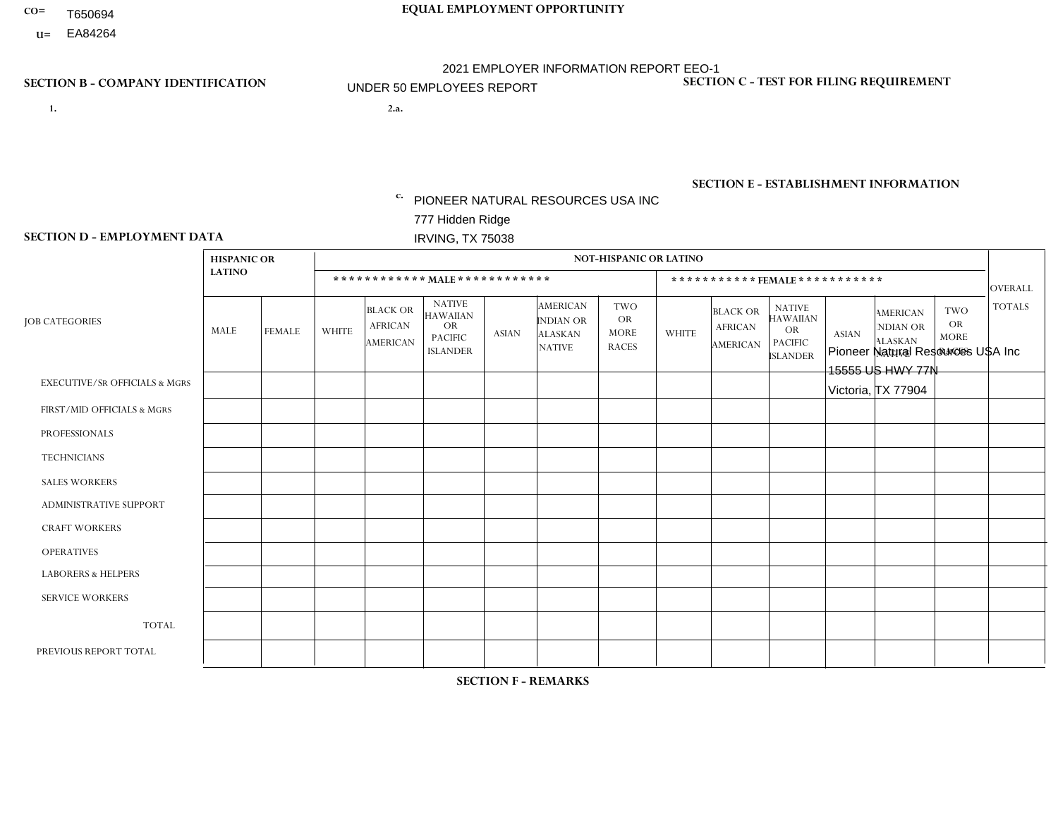- T650694
- **U=**

- **1. 2.a.** PIONEER NATURAL RESOURCES USA INC 777 Hidden Ridge IRVING, TX 75038
- 2.a. Pioneer Natural Resources USA Inc 15555 US HWY 77N Victoria, TX 77904

EIN= 752516853

## **SECTION B - COMPANY IDENTIFICATION SECTION C - TEST FOR FILING REQUIREMENT**

1- Y 2- N 3- N DUNS= 154679435

# **SECTION E - ESTABLISHMENT INFORMATION c.**

NAICS: 211120 - Crude Petroleum Extraction

### **SECTION D - EMPLOYMENT DATA**

|                                          | <b>HISPANIC OR</b> |                |              |                                                      |                                                                                    |              |                                                                 | <b>NOT-HISPANIC OR LATINO</b>                          |              |                                               |                                                                                    |              |                                                                       |                                                        |               |
|------------------------------------------|--------------------|----------------|--------------|------------------------------------------------------|------------------------------------------------------------------------------------|--------------|-----------------------------------------------------------------|--------------------------------------------------------|--------------|-----------------------------------------------|------------------------------------------------------------------------------------|--------------|-----------------------------------------------------------------------|--------------------------------------------------------|---------------|
|                                          | <b>LATINO</b>      |                |              |                                                      | ************ MALE ************                                                     |              |                                                                 |                                                        |              |                                               | ***********FEMALE***********                                                       |              |                                                                       |                                                        | OVERALL       |
| <b>JOB CATEGORIES</b>                    | MALE               | <b>FEMALE</b>  | <b>WHITE</b> | <b>BLACK OR</b><br><b>AFRICAN</b><br><b>AMERICAN</b> | <b>NATIVE</b><br><b>HAWAIIAN</b><br><b>OR</b><br><b>PACIFIC</b><br><b>ISLANDER</b> | <b>ASIAN</b> | <b>AMERICAN</b><br>INDIAN OR<br><b>ALASKAN</b><br><b>NATIVE</b> | <b>TWO</b><br><b>OR</b><br><b>MORE</b><br><b>RACES</b> | <b>WHITE</b> | <b>BLACK OR</b><br><b>AFRICAN</b><br>AMERICAN | <b>NATIVE</b><br><b>HAWAIIAN</b><br><b>OR</b><br><b>PACIFIC</b><br><b>ISLANDER</b> | <b>ASIAN</b> | <b>AMERICAN</b><br><b>NDIAN OR</b><br><b>ALASKAN</b><br><b>NATIVE</b> | <b>TWO</b><br><b>OR</b><br><b>MORE</b><br><b>RACES</b> | <b>TOTALS</b> |
| <b>EXECUTIVE/SR OFFICIALS &amp; MGRS</b> | $\mathbf 0$        | $\mathbf 0$    | $\mathbf 0$  | $\mathbf 0$                                          | $\mathbf 0$                                                                        | $\Omega$     | $\Omega$                                                        | $\Omega$                                               | $\Omega$     | $\mathbf 0$                                   | $\Omega$                                                                           | $\mathbf 0$  | $\Omega$                                                              | $\Omega$                                               | $\mathbf 0$   |
| FIRST/MID OFFICIALS & MGRS               | $\mathbf{0}$       | $\mathbf{0}$   | $\mathbf 0$  | 0                                                    | $\Omega$                                                                           | $\Omega$     | $\Omega$                                                        | $\Omega$                                               | $\Omega$     | $\Omega$                                      | $\Omega$                                                                           | $\Omega$     | $\Omega$                                                              | $\Omega$                                               | $\mathbf 0$   |
| <b>PROFESSIONALS</b>                     | $\mathbf 0$        | $\mathbf 0$    | $\mathbf 0$  | $\mathbf 0$                                          | $\Omega$                                                                           | $\Omega$     | $\Omega$                                                        | $\Omega$                                               | $\Omega$     | $\Omega$                                      | $\Omega$                                                                           | $\mathbf 0$  | $\Omega$                                                              | $\Omega$                                               | $\mathbf 0$   |
| <b>TECHNICIANS</b>                       | $\mathbf 0$        | $\overline{0}$ | $\mathbf 0$  | $\mathbf 0$                                          | $\Omega$                                                                           | $\Omega$     | $\Omega$                                                        | $\Omega$                                               | $\Omega$     | $\Omega$                                      | $\Omega$                                                                           | $\Omega$     | $\Omega$                                                              | $\Omega$                                               | $\mathbf 0$   |
| <b>SALES WORKERS</b>                     | $\mathbf 0$        | 0              | $\mathbf 0$  | 0                                                    | $\Omega$                                                                           | $\Omega$     | $\Omega$                                                        | $\Omega$                                               | $\Omega$     | $\Omega$                                      | $\Omega$                                                                           | $\Omega$     | $\Omega$                                                              | $\Omega$                                               | $\mathbf 0$   |
| ADMINISTRATIVE SUPPORT                   | $\mathbf 0$        | $\mathbf 0$    | $\mathbf 0$  | $\mathbf 0$                                          | $\Omega$                                                                           | $\Omega$     | $\Omega$                                                        | $\Omega$                                               | $\Omega$     | $\Omega$                                      | $\Omega$                                                                           | $\Omega$     | $\Omega$                                                              | $\Omega$                                               | $\mathbf 0$   |
| <b>CRAFT WORKERS</b>                     | $\mathbf{0}$       | $\mathbf 0$    | $\mathbf{1}$ | $\mathbf 0$                                          | $\Omega$                                                                           | $\Omega$     | $\Omega$                                                        | $\Omega$                                               | $\Omega$     | $\Omega$                                      | $\Omega$                                                                           | $\Omega$     | $\Omega$                                                              | $\Omega$                                               | $\mathbf{1}$  |
| <b>OPERATIVES</b>                        | $\mathbf 0$        | $\overline{0}$ | $\mathbf 0$  | $\mathbf 0$                                          | $\Omega$                                                                           | $\Omega$     | $\Omega$                                                        | $\Omega$                                               | $\Omega$     | $\Omega$                                      | $\Omega$                                                                           | $\Omega$     | $\Omega$                                                              | $\Omega$                                               | $\mathbf 0$   |
| <b>LABORERS &amp; HELPERS</b>            | $\Omega$           | $\Omega$       | $\Omega$     | 0                                                    | $\Omega$                                                                           | $\Omega$     | $\Omega$                                                        | $\Omega$                                               | $\Omega$     | $\Omega$                                      | $\Omega$                                                                           | $\Omega$     | $\Omega$                                                              | $\Omega$                                               | $\mathbf 0$   |
| <b>SERVICE WORKERS</b>                   | $\mathbf 0$        | $\mathbf 0$    | 0            | 0                                                    | $\Omega$                                                                           | $\Omega$     | $\Omega$                                                        | $\Omega$                                               | $\Omega$     | $\Omega$                                      | $\Omega$                                                                           | $\Omega$     | $\Omega$                                                              | $\Omega$                                               | 0             |
| <b>TOTAL</b>                             | $\mathbf 0$        | 0              | $\mathbf{1}$ | 0                                                    | $\mathbf 0$                                                                        | $\Omega$     | $\Omega$                                                        | $\Omega$                                               | 0            | $\mathbf 0$                                   | $\mathbf 0$                                                                        | $\mathbf 0$  | $\mathbf 0$                                                           | $\mathbf 0$                                            | $\mathbf{1}$  |
| PREVIOUS REPORT TOTAL                    | $\mathbf 0$        | $\mathbf 0$    | 1            | 0                                                    | $\Omega$                                                                           | $\Omega$     | 0                                                               | $\Omega$                                               | $\Omega$     | $\Omega$                                      | $\Omega$                                                                           | $\Omega$     | $\Omega$                                                              | $\mathbf 0$                                            | $\mathbf{1}$  |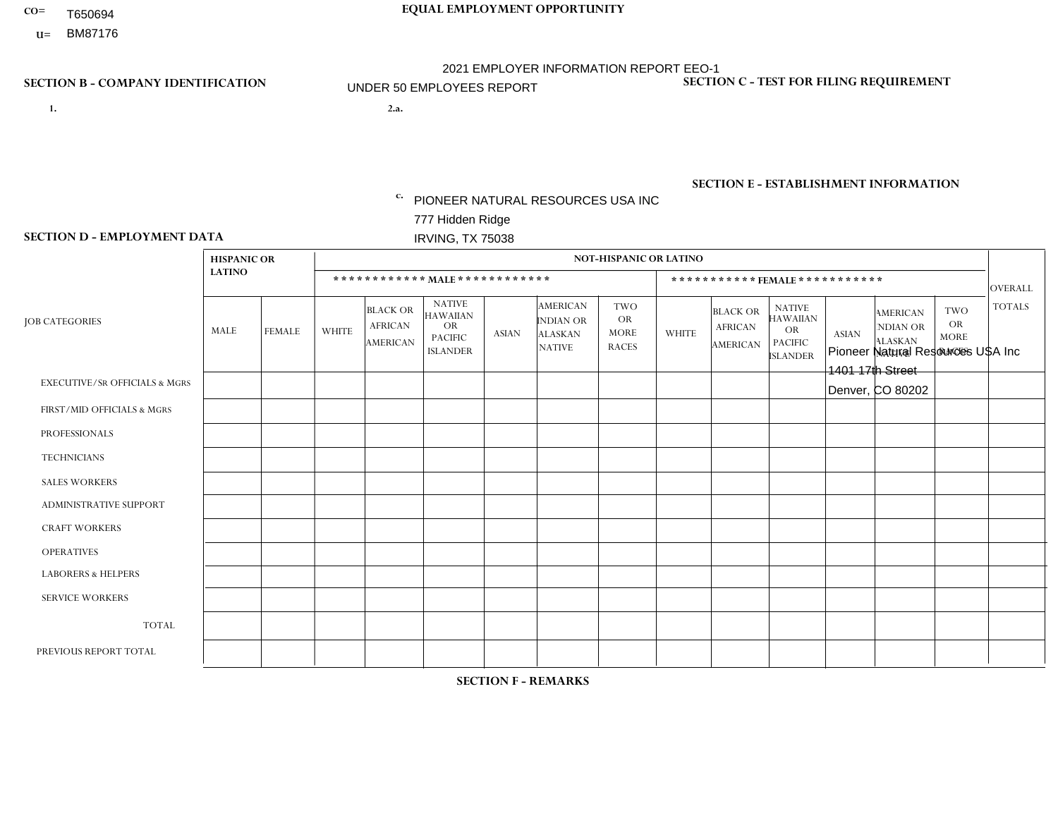- T650694
- **U=**

- **1. 2.a.** PIONEER NATURAL RESOURCES USA INC 777 Hidden Ridge IRVING, TX 75038
- 2.a. Pioneer Natural Resources USA Inc 1401 17th Street Denver, CO 80202

EIN= 752516853

## **SECTION B - COMPANY IDENTIFICATION SECTION C - TEST FOR FILING REQUIREMENT**

1- Y 2- N 3- N DUNS= 154679435

# **SECTION E - ESTABLISHMENT INFORMATION c.**

NAICS: 211120 - Crude Petroleum Extraction

### **SECTION D - EMPLOYMENT DATA**

|                                          | <b>HISPANIC OR</b> |               |                |                                                      |                                                                                    |              |                                                                 | <b>NOT-HISPANIC OR LATINO</b>                          |              |                                                      |                                                                                    |              |                                                                       |                                                        |                |
|------------------------------------------|--------------------|---------------|----------------|------------------------------------------------------|------------------------------------------------------------------------------------|--------------|-----------------------------------------------------------------|--------------------------------------------------------|--------------|------------------------------------------------------|------------------------------------------------------------------------------------|--------------|-----------------------------------------------------------------------|--------------------------------------------------------|----------------|
|                                          | <b>LATINO</b>      |               |                |                                                      | ************ MAIE************                                                      |              |                                                                 |                                                        |              |                                                      | ***********FEMALE ***********                                                      |              |                                                                       |                                                        | <b>OVERALL</b> |
| <b>JOB CATEGORIES</b>                    | MALE               | <b>FEMALE</b> | <b>WHITE</b>   | <b>BLACK OR</b><br><b>AFRICAN</b><br><b>AMERICAN</b> | <b>NATIVE</b><br><b>HAWAIIAN</b><br><b>OR</b><br><b>PACIFIC</b><br><b>ISLANDER</b> | <b>ASIAN</b> | <b>AMERICAN</b><br>INDIAN OR<br><b>ALASKAN</b><br><b>NATIVE</b> | <b>TWO</b><br><b>OR</b><br><b>MORE</b><br><b>RACES</b> | <b>WHITE</b> | <b>BLACK OR</b><br><b>AFRICAN</b><br><b>AMERICAN</b> | <b>NATIVE</b><br><b>HAWAIIAN</b><br><b>OR</b><br><b>PACIFIC</b><br><b>ISLANDER</b> | <b>ASIAN</b> | <b>AMERICAN</b><br><b>NDIAN OR</b><br><b>ALASKAN</b><br><b>NATIVE</b> | <b>TWO</b><br><b>OR</b><br><b>MORE</b><br><b>RACES</b> | <b>TOTALS</b>  |
| <b>EXECUTIVE/SR OFFICIALS &amp; MGRS</b> | $\Omega$           | $\Omega$      | $\mathbf 0$    | $\mathbf 0$                                          | $\mathbf 0$                                                                        | $\mathbf 0$  | $\Omega$                                                        | $\Omega$                                               | $\Omega$     | $\Omega$                                             | $\mathbf{0}$                                                                       | $\Omega$     | $\mathbf{0}$                                                          | $\Omega$                                               | $\mathbf{0}$   |
| FIRST/MID OFFICIALS & MGRS               | 0                  | $\Omega$      | $\overline{1}$ | $\mathbf 0$                                          | $\Omega$                                                                           | $\Omega$     | $\Omega$                                                        | $\Omega$                                               | $\Omega$     | $\Omega$                                             | $\Omega$                                                                           | $\mathbf{0}$ | $\Omega$                                                              | $\Omega$                                               | $\mathbf{1}$   |
| <b>PROFESSIONALS</b>                     | 0                  | $\mathbf 0$   | $\mathbf 0$    | $\mathbf 0$                                          | $\mathbf 0$                                                                        | $\Omega$     | $\mathbf{0}$                                                    | $\Omega$                                               | $\Omega$     | $\Omega$                                             | $\Omega$                                                                           | $\mathbf{0}$ | $\Omega$                                                              | $\mathbf{0}$                                           | $\mathbf 0$    |
| <b>TECHNICIANS</b>                       | 0                  | $\mathbf 0$   | $\mathbf 0$    | $\mathbf 0$                                          | $\Omega$                                                                           | $\Omega$     | $\mathbf{0}$                                                    | $\Omega$                                               | $\Omega$     | $\Omega$                                             | $\Omega$                                                                           | $\Omega$     | $\Omega$                                                              | $\Omega$                                               | $\mathbf 0$    |
| <b>SALES WORKERS</b>                     | 0                  | $\mathbf 0$   | $\mathbf 0$    | $\mathbf 0$                                          | $\mathbf 0$                                                                        | $\mathbf 0$  | $\Omega$                                                        | $\Omega$                                               | $\Omega$     | $\Omega$                                             | $\mathbf{0}$                                                                       | $\mathbf{0}$ | $\mathbf{0}$                                                          | $\Omega$                                               | $\mathbf 0$    |
| ADMINISTRATIVE SUPPORT                   | 0                  | $\Omega$      | $\mathbf 0$    | $\mathbf 0$                                          | $\Omega$                                                                           | $\Omega$     | $\Omega$                                                        | $\Omega$                                               | $\Omega$     | $\Omega$                                             | $\Omega$                                                                           | $\mathbf{0}$ | $\Omega$                                                              | $\mathbf{0}$                                           | $\Omega$       |
| <b>CRAFT WORKERS</b>                     | 0                  | $\Omega$      | $\mathbf 0$    | $\mathbf 0$                                          | $\mathbf 0$                                                                        | $\mathbf 0$  | $\mathbf{0}$                                                    | $\Omega$                                               | $\Omega$     | $\Omega$                                             | $\Omega$                                                                           | $\Omega$     | $\Omega$                                                              | $\Omega$                                               | $\mathbf{0}$   |
| <b>OPERATIVES</b>                        | 0                  | $\Omega$      | $\mathbf{0}$   | $\Omega$                                             | $\Omega$                                                                           | $\Omega$     | $\Omega$                                                        | $\Omega$                                               | $\Omega$     | $\Omega$                                             | $\Omega$                                                                           | $\Omega$     | $\Omega$                                                              | $\mathbf{0}$                                           | $\overline{0}$ |
| <b>LABORERS &amp; HELPERS</b>            | 0                  | $\Omega$      | $\mathbf 0$    | $\mathbf 0$                                          | $\mathbf 0$                                                                        | $\Omega$     | $\Omega$                                                        | $\Omega$                                               | $\Omega$     | $\Omega$                                             | $\Omega$                                                                           | $\Omega$     | $\Omega$                                                              | $\Omega$                                               | $\overline{0}$ |
| <b>SERVICE WORKERS</b>                   | 0                  | $\mathbf 0$   | $\mathbf 0$    | $\mathbf 0$                                          | 0                                                                                  | $\mathbf 0$  | $\Omega$                                                        | $\Omega$                                               | $\Omega$     | $\Omega$                                             | $\Omega$                                                                           | $\Omega$     | $\mathbf{0}$                                                          | $\Omega$                                               | $\mathbf 0$    |
| <b>TOTAL</b>                             | $\Omega$           | $\mathbf 0$   | $\overline{1}$ | $\mathbf 0$                                          | $\mathbf 0$                                                                        | $\mathbf 0$  | $\Omega$                                                        | $\Omega$                                               | $\Omega$     | $\Omega$                                             | $\Omega$                                                                           | $\Omega$     | $\Omega$                                                              | $\Omega$                                               | $\mathbf{1}$   |
| PREVIOUS REPORT TOTAL                    | 0                  | $\mathbf 0$   | 1              | $\mathbf 0$                                          | $\mathbf 0$                                                                        | $\Omega$     | $\Omega$                                                        | $\Omega$                                               | $\Omega$     | $\Omega$                                             | $\Omega$                                                                           | $\Omega$     | $\mathbf{0}$                                                          | $\mathbf{0}$                                           | $\mathbf{1}$   |